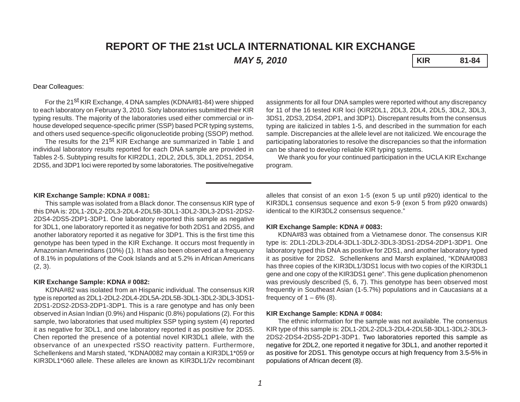# **REPORT OF THE 21st UCLA INTERNATIONAL KIR EXCHANGE**

*MAY 5, 2010* **KIR 81-84**

#### Dear Colleagues:

For the 21<sup>st</sup> KIR Exchange, 4 DNA samples (KDNA#81-84) were shipped to each laboratory on February 3, 2010. Sixty laboratories submitted their KIR typing results. The majority of the laboratories used either commercial or inhouse developed sequence-specific primer (SSP) based PCR typing systems, and others used sequence-specific oligonucleotide probing (SSOP) method.

The results for the 21<sup>st</sup> KIR Exchange are summarized in Table 1 and individual laboratory results reported for each DNA sample are provided in Tables 2-5. Subtyping results for KIR2DL1, 2DL2, 2DL5, 3DL1, 2DS1, 2DS4, 2DS5, and 3DP1 loci were reported by some laboratories. The positive/negative

assignments for all four DNA samples were reported without any discrepancy for 11 of the 16 tested KIR loci (KIR2DL1, 2DL3, 2DL4, 2DL5, 3DL2, 3DL3, 3DS1, 2DS3, 2DS4, 2DP1, and 3DP1). Discrepant results from the consensus typing are italicized in tables 1-5, and described in the summation for each sample. Discrepancies at the allele level are not italicized. We encourage the participating laboratories to resolve the discrepancies so that the information can be shared to develop reliable KIR typing systems.

We thank you for your continued participation in the UCLA KIR Exchange program.

#### **KIR Exchange Sample: KDNA # 0081:**

This sample was isolated from a Black donor. The consensus KIR type of this DNA is: 2DL1-2DL2-2DL3-2DL4-2DL5B-3DL1-3DL2-3DL3-2DS1-2DS2- 2DS4-2DS5-2DP1-3DP1. One laboratory reported this sample as negative for 3DL1, one laboratory reported it as negative for both 2DS1 and 2DS5, and another laboratory reported it as negative for 3DP1. This is the first time this genotype has been typed in the KIR Exchange. It occurs most frequently in Amazonian Amerindians (10%) (1). It has also been observed at a frequency of 8.1% in populations of the Cook Islands and at 5.2% in African Americans (2, 3).

#### **KIR Exchange Sample: KDNA # 0082:**

KDNA#82 was isolated from an Hispanic individual. The consensus KIR type is reported as 2DL1-2DL2-2DL4-2DL5A-2DL5B-3DL1-3DL2-3DL3-3DS1- 2DS1-2DS2-2DS3-2DP1-3DP1. This is a rare genotype and has only been observed in Asian Indian (0.9%) and Hispanic (0.8%) populations (2). For this sample, two laboratories that used multiplex SSP typing system (4) reported it as negative for 3DL1, and one laboratory reported it as positive for 2DS5. Chen reported the presence of a potential novel KIR3DL1 allele, with the observance of an unexpected rSSO reactivity pattern. Furthermore, Schellenkens and Marsh stated, "KDNA0082 may contain a KIR3DL1\*059 or KIR3DL1\*060 allele. These alleles are known as KIR3DL1/2v recombinant alleles that consist of an exon 1-5 (exon 5 up until p920) identical to the KIR3DL1 consensus sequence and exon 5-9 (exon 5 from p920 onwards) identical to the KIR3DL2 consensus sequence."

#### **KIR Exchange Sample: KDNA # 0083:**

KDNA#83 was obtained from a Vietnamese donor. The consensus KIR type is: 2DL1-2DL3-2DL4-3DL1-3DL2-3DL3-3DS1-2DS4-2DP1-3DP1. One laboratory typed this DNA as positive for 2DS1, and another laboratory typed it as positive for 2DS2. Schellenkens and Marsh explained, "KDNA#0083 has three copies of the KIR3DL1/3DS1 locus with two copies of the KIR3DL1 gene and one copy of the KIR3DS1 gene". This gene duplication phenomenon was previously described (5, 6, 7). This genotype has been observed most frequently in Southeast Asian (1-5.7%) populations and in Caucasians at a frequency of  $1 - 6\%$  (8).

#### **KIR Exchange Sample: KDNA # 0084:**

The ethnic information for the sample was not available. The consensus KIR type of this sample is: 2DL1-2DL2-2DL3-2DL4-2DL5B-3DL1-3DL2-3DL3- 2DS2-2DS4-2DS5-2DP1-3DP1. Two laboratories reported this sample as negative for 2DL2, one reported it negative for 3DL1, and another reported it as positive for 2DS1. This genotype occurs at high frequency from 3.5-5% in populations of African decent (8).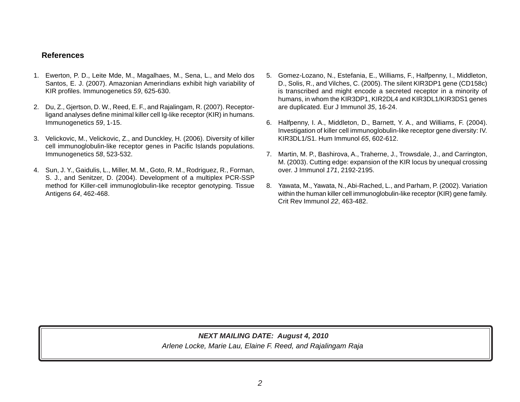### **References**

- 1. Ewerton, P. D., Leite Mde, M., Magalhaes, M., Sena, L., and Melo dos Santos, E. J. (2007). Amazonian Amerindians exhibit high variability of KIR profiles. Immunogenetics *59*, 625-630.
- 2. Du, Z., Gjertson, D. W., Reed, E. F., and Rajalingam, R. (2007). Receptorligand analyses define minimal killer cell Ig-like receptor (KIR) in humans. Immunogenetics *59*, 1-15.
- 3. Velickovic, M., Velickovic, Z., and Dunckley, H. (2006). Diversity of killer cell immunoglobulin-like receptor genes in Pacific Islands populations. Immunogenetics *58*, 523-532.
- 4. Sun, J. Y., Gaidulis, L., Miller, M. M., Goto, R. M., Rodriguez, R., Forman, S. J., and Senitzer, D. (2004). Development of a multiplex PCR-SSP method for Killer-cell immunoglobulin-like receptor genotyping. Tissue Antigens *64*, 462-468.
- 5. Gomez-Lozano, N., Estefania, E., Williams, F., Halfpenny, I., Middleton, D., Solis, R., and Vilches, C. (2005). The silent KIR3DP1 gene (CD158c) is transcribed and might encode a secreted receptor in a minority of humans, in whom the KIR3DP1, KIR2DL4 and KIR3DL1/KIR3DS1 genes are duplicated. Eur J Immunol *35*, 16-24.
- 6. Halfpenny, I. A., Middleton, D., Barnett, Y. A., and Williams, F. (2004). Investigation of killer cell immunoglobulin-like receptor gene diversity: IV. KIR3DL1/S1. Hum Immunol *65*, 602-612.
- 7. Martin, M. P., Bashirova, A., Traherne, J., Trowsdale, J., and Carrington, M. (2003). Cutting edge: expansion of the KIR locus by unequal crossing over. J Immunol *171*, 2192-2195.
- 8. Yawata, M., Yawata, N., Abi-Rached, L., and Parham, P. (2002). Variation within the human killer cell immunoglobulin-like receptor (KIR) gene family. Crit Rev Immunol *22*, 463-482.

## *Arlene Locke, Marie Lau, Elaine F. Reed, and Rajalingam Raja NEXT MAILING DATE: August 4, 2010*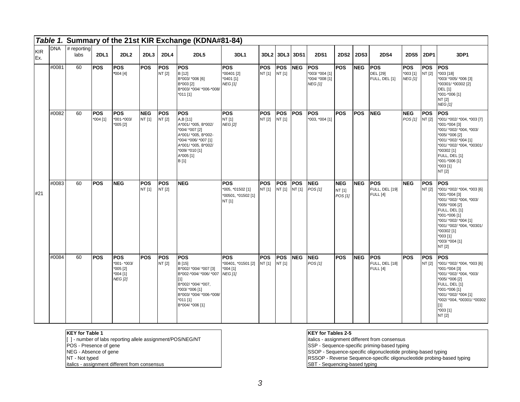|                   |            |                       |                          |                                                                        |                      |                       | Table 1. Summary of the 21st KIR Exchange (KDNA#81-84)                                                                                                                          |                                                                |                      |                       |                      |                                                                  |                                 |             |                                                        |                                           |                       |                                                                                                                                                                                                                                                       |
|-------------------|------------|-----------------------|--------------------------|------------------------------------------------------------------------|----------------------|-----------------------|---------------------------------------------------------------------------------------------------------------------------------------------------------------------------------|----------------------------------------------------------------|----------------------|-----------------------|----------------------|------------------------------------------------------------------|---------------------------------|-------------|--------------------------------------------------------|-------------------------------------------|-----------------------|-------------------------------------------------------------------------------------------------------------------------------------------------------------------------------------------------------------------------------------------------------|
| <b>KIR</b><br>Ex. | <b>DNA</b> | $#$ reporting<br>labs | <b>2DL1</b>              | 2DL <sub>2</sub>                                                       | 2DL3                 | 2DL4                  | <b>2DL5</b>                                                                                                                                                                     | 3DL1                                                           |                      | 3DL2 3DL3             | 3DS1                 | <b>2DS1</b>                                                      | <b>2DS2</b>                     | <b>2DS3</b> | <b>2DS4</b>                                            | <b>2DS5</b>                               | 2DP1                  | 3DP1                                                                                                                                                                                                                                                  |
|                   | #0081      | 60                    | <b>POS</b>               | <b>POS</b><br>$*004[4]$                                                | POS                  | POS<br>NT [2]         | POS<br>B [12]<br>B*003/ *006 [6]<br>B*003 [2]<br>B*003/ *004/ *006-*008/<br>$*011$ [1]                                                                                          | <b>IPOS</b><br>*00401 [2]<br>*0401 [1]<br><b>NEG</b> [1]       | <b>POS</b><br>NT [1] | <b>POS</b><br>NT [1]  | <b>NEG</b>           | <b>POS</b><br>*003/ *004 [1]<br>*004/ *008 [1]<br><b>NEG [1]</b> | <b>POS</b>                      | <b>NEG</b>  | <b>POS</b><br><b>DEL</b> [29]<br>FULL, DEL [1]         | <b>POS</b><br>$*003[1]$<br><b>NEG</b> [1] | <b>POS</b><br>NT [2]  | <b>POS</b><br>*003 [18]<br>*003/ *005/ *006 [3]<br>*00301/ *00302 [2]<br><b>DEL [1]</b><br>*001-*006 [1]<br>NT [2]<br><b>NEG</b> [1]                                                                                                                  |
|                   | #0082      | 60                    | <b>POS</b><br>$*004$ [1] | <b>POS</b><br>*001-*003/<br>$*005$ [2]                                 | <b>NEG</b><br>NT [1] | <b>POS</b><br>NT [2]  | <b>POS</b><br>A,B [11]<br>A*001/ *005, B*002/<br>*004/ *007 [2]<br>A*001/ *005, B*002-<br>*004/ *006/ *007 [1]<br>A*001/ *005, B*002/<br>*009/ *010 [1]<br>A*005 [1]<br>B [1]   | <b>POS</b><br>NT [1]<br><b>NEG [2]</b>                         | <b>POS</b><br>NT [2] | lPOS.<br>NT [1]       | <b>POS</b>           | <b>POS</b><br>*003, *004 [1]                                     | <b>POS</b>                      | <b>POS</b>  | <b>NEG</b>                                             | <b>NEG</b><br>POS [1]                     | <b>POS</b><br>NT [2]  | <b>POS</b><br>*001/ *002/ *004, *003 [7]<br>*001-*004 [3]<br>*001/ *002/ *004, *003/<br>*005/ *006 [2]<br>*001/ *002/ *004 [1]<br>*001/ *002/ *004, *00301/<br>*00302 [1]<br>FULL, DEL [1]<br>*001-*006 [1]<br>$*003$ [1]<br>NT [2]                   |
| #21               | #0083      | 60                    | <b>POS</b>               | <b>NEG</b>                                                             | <b>POS</b><br>NT [1] | <b>POS</b><br>NT [2]  | <b>NEG</b>                                                                                                                                                                      | <b>POS</b><br>*005, *01502 [1]<br>*00501, *01502 [1]<br>NT [1] | <b>POS</b><br>NT [1] | <b>POS</b><br>NT [1]  | <b>POS</b><br>NT [1] | <b>NEG</b><br>POS[1]                                             | <b>NEG</b><br>NT [1]<br>POS [1] | NEG         | <b>POS</b><br><b>FULL, DEL [19]</b><br><b>FULL</b> [4] | <b>NEG</b>                                | POS<br>NT [2]         | <b>POS</b><br>*001/ *002/ *004, *003 [6]<br>*001-*004 [3]<br>*001/ *002/ *004, *003/<br>*005/ *006 [2]<br>FULL, DEL [1]<br>*001-*006 [1]<br>*001/ *002/ *004 [1]<br>*001/ *002/ *004, *00301/<br>*00302 [1]<br>$*003$ [1]<br>*003/ *004 [1]<br>NT [2] |
|                   | #0084      | 60                    | <b>POS</b>               | <b>IPOS</b><br>*001- *003/<br>*005 [2]<br>$*004$ [1]<br><b>NEG</b> [2] | <b>POS</b>           | <b>IPOS</b><br>NT [2] | <b>POS</b><br>B[15]<br>B*002/ *004/ *007 [3]<br>B*002-*004/ *006/ *007<br>[1]<br>B*002/ *004/ *007,<br>*003/ *006 [1]<br>B*003/ *004/ *006-*008/<br>*011 [1]<br>B*004/ *006 [1] | lPOS.<br>*00401, *01501 [2]<br>*004 [1]<br><b>NEG</b> [1]      | <b>POS</b><br>NT [1] | <b>IPOS</b><br>NT [1] | <b>NEG</b>           | <b>INEG</b><br>POS [1]                                           | <b>POS</b>                      | <b>NEG</b>  | <b>IPOS</b><br>FULL, DEL [18]<br><b>FULL</b> [4]       | <b>POS</b>                                | <b>IPOS</b><br>NT [2] | <b>POS</b><br>*001/ *002/ *004, *003 [6]<br>*001-*004 [3]<br>*001/ *002/ *004, *003/<br>*005/ *006 [2]<br>FULL, DEL [1]<br>*001-*006 [1]<br>*001/ *002/ *004 [1]<br>*002/ *004, *00301/ *00302<br>$[1]$<br>*003 [1]<br>NT [2]                         |

**KEY for Table 1**

[ ] - number of labs reporting allele assignment/POS/NEG/NT

POS - Presence of gene

NEG - Absence of gene

NT - Not typed

italics - assignment different from consensus

#### **KEY for Tables 2-5**

italics - assignment different from consensus

SSP - Sequence-specific priming-based typing

SSOP - Sequence-specific oligonucleotide probing-based typing

RSSOP - Reverse Sequence-specific oligonucleotide probing-based typing

SBT - Sequencing-based typing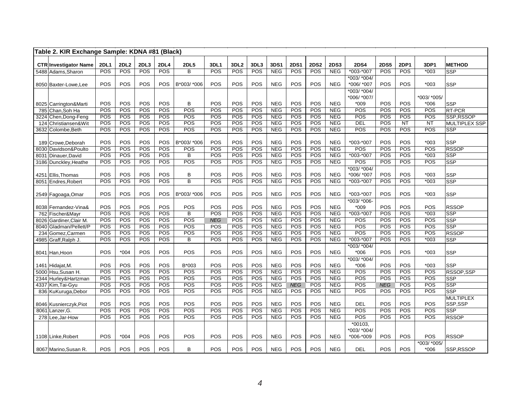| Table 2. KIR Exchange Sample: KDNA #81 (Black) |                   |                         |            |                   |                              |            |                  |            |            |             |                  |                   |                   |             |            |                  |                         |
|------------------------------------------------|-------------------|-------------------------|------------|-------------------|------------------------------|------------|------------------|------------|------------|-------------|------------------|-------------------|-------------------|-------------|------------|------------------|-------------------------|
| <b>CTR Investigator Name</b>                   | <b>2DL1</b>       | <b>2DL2</b>             | 2DL3       | <b>2DL4</b>       | <b>2DL5</b>                  | 3DL1       | 3DL <sub>2</sub> | 3DL3       | 3DS1       | <b>2DS1</b> | <b>2DS2</b>      | <b>2DS3</b>       | <b>2DS4</b>       | <b>2DS5</b> | 2DP1       | 3DP1             | <b>METHOD</b>           |
| 5488 Adams, Sharon                             | POS               | POS                     | POS        | POS               | B                            | POS        | POS              | POS        | NEG        | POS         | POS              | NEG               | $*003 - *007$     | POS         | POS        | $*003$           | <b>SSP</b>              |
|                                                |                   |                         |            |                   |                              |            |                  |            |            |             |                  |                   | *003/ *004/       |             |            |                  |                         |
| 8050 Baxter-Lowe, Lee                          | POS               | POS                     | POS        | POS               | B*003/ *006                  | POS        | POS              | POS        | <b>NEG</b> | POS         | POS              | <b>NEG</b>        | *006/ *007        | POS         | POS        | *003             | SSP                     |
|                                                |                   |                         |            |                   |                              |            |                  |            |            |             |                  |                   | *003/ *004/       |             |            |                  |                         |
|                                                |                   |                         |            |                   |                              |            |                  |            |            |             |                  |                   | *006/ *007/       |             |            | *003/ *005/      |                         |
| 8025 Carrington&Marti                          | POS               | POS                     | POS        | POS               | B                            | POS        | POS              | <b>POS</b> | <b>NEG</b> | POS         | POS              | <b>NEG</b>        | $*009$            | POS         | POS        | *006             | <b>SSP</b>              |
| 785 Chan, Soh Ha                               | POS               | POS                     | POS        | POS               | POS                          | POS        | POS              | POS        | <b>NEG</b> | POS         | POS              | <b>NEG</b>        | POS               | POS         | POS        | POS              | RT-PCR                  |
| 3224 Chen, Dong-Feng                           | POS               | POS                     | POS        | POS               | POS                          | POS        | POS              | POS        | <b>NEG</b> | POS         | POS              | <b>NEG</b>        | POS               | POS         | POS        | POS              | SSP, RSSOP              |
| 124 Christiansen&Wit                           | POS               | POS                     | POS        | POS               | POS                          | POS        | POS              | POS        | <b>NEG</b> | POS         | POS              | <b>NEG</b>        | DEL               | POS         | NT         | $\overline{NT}$  | <b>MULTIPLEX SSP</b>    |
| 3632 Colombe,Beth                              | POS               | POS                     | POS        | POS               | POS                          | POS        | POS              | POS        | <b>NEG</b> | POS         | POS              | NEG               | POS               | POS         | POS        | POS              | <b>SSP</b>              |
|                                                |                   |                         |            |                   |                              |            |                  |            |            |             |                  |                   |                   |             |            |                  |                         |
| 189 Crowe, Deborah                             | POS               | POS                     | POS        | POS               | B*003/ *006                  | POS        | POS              | POS        | <b>NEG</b> | POS         | POS              | <b>NEG</b>        | *003-*007         | POS         | POS        | $*003$           | SSP                     |
| 8030 Davidson&Poulto                           | POS               | <b>POS</b>              | POS        | POS               | POS                          | POS        | POS              | POS        | NEG        | POS         | POS              | <b>NEG</b>        | POS               | POS         | POS        | POS              | <b>RSSOP</b>            |
| Dinauer, David<br>8031                         | POS               | POS                     | POS        | POS               | B                            | POS        | POS              | POS        | <b>NEG</b> | POS         | POS              | <b>NEG</b>        | $*003-*007$       | POS         | POS        | $*003$           | <b>SSP</b>              |
| 3186 Dunckley, Heathe                          | POS               | POS                     | POS        | POS               | POS                          | POS        | POS              | POS        | <b>NEG</b> | POS         | POS              | <b>NEG</b>        | POS               | POS         | POS        | POS              | SSP                     |
|                                                |                   |                         |            |                   |                              |            |                  |            |            |             |                  |                   | $*003$ / $*004$ / |             |            |                  |                         |
| 4251 Ellis, Thomas                             | POS               | POS<br>POS              | POS        | POS<br><b>POS</b> | B<br>$\overline{\mathsf{B}}$ | POS<br>POS | POS<br>POS       | POS<br>POS | <b>NEG</b> | POS<br>POS  | POS              | <b>NEG</b>        | *006/ *007        | POS<br>POS  | POS        | $*003$<br>$*003$ | <b>SSP</b>              |
| 8051 Endres, Robert                            | POS               |                         | POS        |                   |                              |            |                  |            | NEG        |             | POS              | NEG               | *003-*007         |             | POS        |                  | $\overline{\text{SSP}}$ |
| 2549 Fagoaga, Omar                             | <b>POS</b>        | POS                     | POS        | POS               | B*003/ *006                  | POS        | POS              | POS        | <b>NEG</b> | POS         | POS              | <b>NEG</b>        | *003-*007         | POS         | POS        | $*003$           | <b>SSP</b>              |
|                                                |                   |                         |            |                   |                              |            |                  |            |            |             |                  |                   | *003/ *006-       |             |            |                  |                         |
| 8038 Fernandez-Vina&                           | POS               | POS                     | POS        | POS               | POS                          | POS        | POS              | POS        | <b>NEG</b> | POS         | POS              | <b>NEG</b>        | $*009$            | POS         | POS        | POS              | <b>RSSOP</b>            |
| 762 Fischer&Mayr                               | POS               | POS                     | POS        | POS               | B                            | POS        | POS              | POS        | <b>NEG</b> | POS         | POS              | <b>NEG</b>        | $*003-*007$       | POS         | <b>POS</b> | $*003$           | <b>SSP</b>              |
| 8026 Gardiner, Clair M.                        | POS               | POS                     | POS        | POS               | POS                          | <b>NEG</b> | POS              | POS        | <b>NEG</b> | POS         | POS              | <b>NEG</b>        | POS               | POS         | POS        | POS              | $\overline{\text{SSP}}$ |
| 8040 Gladman/Pellett/P                         | POS               | POS                     | POS        | POS               | POS                          | POS        | POS              | POS        | NEG        | POS         | POS              | NEG               | POS               | POS         | POS        | POS              | SSP                     |
| 234 Gomez, Carmen                              | POS               | POS                     | POS        | POS               | POS                          | POS        | POS              | POS        | NEG        | POS         | POS              | <b>NEG</b>        | POS               | POS         | POS        | POS              | <b>RSSOP</b>            |
| 4985 Graff, Ralph J.                           | <b>POS</b>        | <b>POS</b>              | POS        | POS               | B                            | POS        | POS              | POS        | <b>NEG</b> | POS         | <b>POS</b>       | <b>NEG</b>        | $*003 - *007$     | POS         | POS        | $*003$           | <b>SSP</b>              |
|                                                |                   |                         |            |                   |                              |            |                  |            |            |             |                  |                   | *003/ *004/       |             |            |                  |                         |
| 8041 Han, Hoon                                 | POS               | $*004$                  | POS        | POS               | POS                          | POS        | POS              | POS        | <b>NEG</b> | POS         | POS              | <b>NEG</b>        | *006              | POS         | POS        | $*003$           | <b>SSP</b>              |
|                                                |                   |                         |            |                   |                              |            |                  |            |            |             |                  |                   | $*003/*004/$      |             |            |                  |                         |
| 1461 Hidajat, M.                               | POS               | POS                     | POS        | POS               | B*003                        | POS        | POS              | POS        | <b>NEG</b> | POS         | POS              | <b>NEG</b>        | $*006$            | POS         | POS        | $*003$           | <b>SSP</b>              |
| 5000 Hsu, Susan H.                             | POS               | POS                     | POS        | POS               | POS                          | POS        | POS              | POS        | NEG        | POS         | $\overline{POS}$ | <b>NEG</b>        | POS               | POS         | POS        | POS              | <b>RSSOP,SSP</b>        |
| 2344 Hurley&Hartzman                           | POS               | POS                     | POS        | POS               | POS                          | POS        | POS              | POS        | <b>NEG</b> | POS         | POS              | <b>NEG</b>        | POS               | POS         | POS        | POS              | <b>SSP</b>              |
| 4337 Kim, Tai-Gyu                              | POS               | POS                     | POS        | POS               | POS                          | POS        | POS              | POS        | <b>NEG</b> | <b>NEG</b>  | POS              | <b>NEG</b>        | POS               | <b>NEG</b>  | POS        | POS              | <b>SSP</b>              |
| 836 KuKuruga, Debor                            | POS               | POS                     | POS        | POS               | POS                          | POS        | POS              | POS        | <b>NEG</b> | POS         | POS              | NEG               | POS               | POS         | POS        | POS              | $\overline{\text{SSP}}$ |
|                                                |                   |                         |            |                   |                              |            |                  |            |            |             |                  |                   |                   |             |            |                  | <b>MULTIPLEX</b>        |
| 8046 Kusnierczyk, Piot                         | POS               | POS                     | POS        | POS               | POS                          | POS        | POS              | POS        | <b>NEG</b> | POS         | POS              | <b>NEG</b>        | <b>DEL</b>        | POS         | POS        | POS              | SSP,SSP                 |
| 8061 Lanzer, G.                                | POS<br><b>POS</b> | POS<br>$\overline{POS}$ | POS<br>POS | POS<br>POS        | POS<br>POS                   | POS<br>POS | POS<br>POS       | POS<br>POS | <b>NEG</b> | POS<br>POS  | POS<br>POS       | <b>NEG</b><br>NEG | POS<br>POS        | POS<br>POS  | POS<br>POS | POS<br>POS       | <b>SSP</b>              |
| 278 Lee, Jar-How                               |                   |                         |            |                   |                              |            |                  |            | <b>NEG</b> |             |                  |                   | *00103,           |             |            |                  | <b>RSSOP</b>            |
|                                                |                   |                         |            |                   |                              |            |                  |            |            |             |                  |                   | *003/ *004/       |             |            |                  |                         |
| 1108 Linke, Robert                             | <b>POS</b>        | $*004$                  | POS        | POS               | POS                          | POS        | POS              | POS        | <b>NEG</b> | POS         | POS              | <b>NEG</b>        | *006-*009         | POS         | POS        | POS              | <b>RSSOP</b>            |
|                                                |                   |                         |            |                   |                              |            |                  |            |            |             |                  |                   |                   |             |            | *003/ *005/      |                         |
| 8067 Marino, Susan R.                          | <b>POS</b>        | POS                     | POS        | POS               | B                            | POS        | POS              | POS        | <b>NEG</b> | <b>POS</b>  | <b>POS</b>       | <b>NEG</b>        | <b>DEL</b>        | POS         | POS        | $*006$           | SSP, RSSOP              |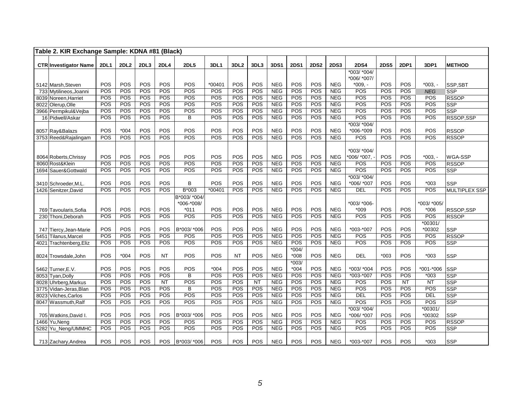|      | Table 2. KIR Exchange Sample: KDNA #81 (Black) |             |             |            |             |              |            |            |           |                          |             |             |                          |              |             |                        |                           |                                |
|------|------------------------------------------------|-------------|-------------|------------|-------------|--------------|------------|------------|-----------|--------------------------|-------------|-------------|--------------------------|--------------|-------------|------------------------|---------------------------|--------------------------------|
|      |                                                |             |             |            |             | <b>2DL5</b>  |            |            |           |                          |             |             | <b>2DS3</b>              | 2DS4         |             |                        |                           |                                |
|      | <b>CTR Investigator Name</b>                   | <b>2DL1</b> | <b>2DL2</b> | 2DL3       | <b>2DL4</b> |              | 3DL1       | 3DL2       | 3DL3      | 3DS1                     | <b>2DS1</b> | <b>2DS2</b> |                          | *003/ *004/  | <b>2DS5</b> | 2DP1                   | 3DP1                      | <b>METHOD</b>                  |
|      |                                                |             |             |            |             |              |            |            |           |                          |             |             |                          | *006/ *007/  |             |                        |                           |                                |
|      | 5142 Marsh, Steven                             | POS         | POS         | POS        | POS         | POS          | *00401     | POS        | POS       | <b>NEG</b>               | POS         | POS         | <b>NEG</b>               | $*009. -$    | POS         | POS                    | $*003. -$                 | SSP,SBT                        |
|      | 733 Mytilineos, Joanni                         | POS         | POS         | POS        | POS         | POS          | POS        | POS        | POS       | NEG                      | POS         | POS         | <b>NEG</b>               | POS          | POS         | POS                    | <b>NEG</b>                | SSP                            |
|      | 8039 Noreen, Harriet                           | POS         | POS         | POS        | POS         | <b>POS</b>   | POS        | POS        | POS       | <b>NEG</b>               | POS         | POS         | <b>NEG</b>               | POS          | POS         | POS                    | POS                       | <b>RSSOP</b>                   |
|      | 8022 Olerup, Olle                              | POS         | POS         | POS        | POS         | POS          | POS        | POS        | POS       | <b>NEG</b>               | POS         | POS         | <b>NEG</b>               | POS          | POS         | POS                    | POS                       | <b>SSP</b>                     |
|      | 3966 Permpikul&Vejba                           | POS         | POS         | POS        | POS         | POS          | POS        | POS        | POS       | <b>NEG</b>               | POS         | POS         | <b>NEG</b>               | POS          | POS         | POS                    | POS                       | <b>SSP</b>                     |
|      | 16 Pidwell/Askar                               | POS         | POS         | POS        | POS         | B            | POS        | POS        | POS       | <b>NEG</b>               | POS         | POS         | <b>NEG</b>               | POS          | POS         | POS                    | POS                       | RSSOP,SSP                      |
|      |                                                |             |             |            |             |              |            |            |           |                          |             |             |                          | *003/ *004/  |             |                        |                           |                                |
|      | 8057 Ray&Balazs                                | POS         | $*004$      | POS        | POS         | POS          | POS        | POS        | POS       | <b>NEG</b>               | POS         | POS         | <b>NEG</b>               | *006-*009    | POS         | POS                    | POS                       | <b>RSSOP</b>                   |
|      | 3753 Reed&Rajalingam                           | POS         | POS         | POS        | POS         | POS          | POS        | POS        | POS       | <b>NEG</b>               | POS         | POS         | <b>NEG</b>               | POS          | POS         | POS                    | POS                       | <b>RSSOP</b>                   |
|      |                                                |             |             |            |             |              |            |            |           |                          |             |             |                          |              |             |                        |                           |                                |
|      |                                                |             |             |            |             |              |            |            |           |                          |             |             |                          | *003/ *004/  |             |                        |                           |                                |
|      | 8064 Roberts, Chrissy                          | POS         | POS         | POS        | POS         | POS          | POS        | POS        | POS       | <b>NEG</b>               | POS         | POS         | <b>NEG</b>               | *006/ *007,  | POS         | POS                    | $*003. -$                 | WGA-SSP                        |
|      | 8060 Rost&Klein                                | POS         | POS         | POS        | POS         | POS          | POS        | POS        | POS       | <b>NEG</b>               | POS         | POS         | <b>NEG</b>               | POS          | POS         | POS                    | POS                       | <b>RSSOP</b>                   |
|      | 1694 Sauer&Gottwald                            | POS         | POS         | POS        | POS         | POS          | POS        | POS        | POS       | <b>NEG</b>               | POS         | POS         | <b>NEG</b>               | POS          | POS         | POS                    | POS                       | <b>SSP</b>                     |
|      |                                                |             |             |            |             |              |            |            |           |                          |             |             |                          | $*003/*004/$ |             |                        |                           |                                |
|      | 3410 Schroeder, M.L.                           | <b>POS</b>  | POS         | POS        | POS         | B            | POS        | POS        | POS       | <b>NEG</b>               | POS         | POS         | <b>NEG</b>               | *006/ *007   | POS         | POS                    | $*003$                    | <b>SSP</b>                     |
|      | 1426 Senitzer, David                           | POS         | POS         | POS        | POS         | $B*003$      | *00401     | POS        | POS       | <b>NEG</b>               | POS         | POS         | <b>NEG</b>               | <b>DEL</b>   | POS         | POS                    | POS                       | <b>MULTIPLEX SSP</b>           |
|      |                                                |             |             |            |             | B*003/ *004/ |            |            |           |                          |             |             |                          |              |             |                        |                           |                                |
|      |                                                |             |             |            |             | *006-*008/   |            |            |           |                          |             |             |                          | *003/ *006-  |             |                        | *003/ *005/               |                                |
|      | 769 Tavoularis, Sofia                          | POS         | POS         | POS        | POS         | $*011$       | POS        | POS        | POS       | <b>NEG</b>               | POS         | POS         | <b>NEG</b>               | $*009$       | POS         | POS                    | $*006$                    | RSSOP,SSP                      |
|      | 230 Thoni.Deborah                              | POS         | POS         | POS        | POS         | POS          | POS        | POS        | POS       | <b>NEG</b>               | POS         | POS         | <b>NEG</b>               | POS          | POS         | POS                    | POS                       | <b>RSSOP</b>                   |
|      |                                                |             |             |            |             |              |            |            |           |                          |             |             |                          |              |             |                        | *00301/                   |                                |
|      | 747 Tiercy, Jean-Marie                         | POS         | POS         | POS        | POS         | B*003/ *006  | POS        | POS        | POS       | <b>NEG</b>               | POS         | POS         | <b>NEG</b>               | *003-*007    | POS         | POS                    | *00302                    | SSP                            |
|      | 5451 Tilanus, Marcel                           | POS         | POS         | POS        | POS         | POS          | POS        | POS        | POS       | <b>NEG</b>               | POS         | POS         | <b>NEG</b>               | POS          | POS         | POS                    | POS                       | <b>RSSOP</b>                   |
| 4021 | Trachtenberg, Eliz                             | POS         | POS         | POS        | POS         | POS          | POS        | POS        | POS       | <b>NEG</b>               | POS         | POS         | <b>NEG</b>               | POS          | POS         | POS                    | POS                       | <b>SSP</b>                     |
|      |                                                |             |             |            |             |              |            |            |           |                          | $*004/$     |             |                          |              |             |                        |                           |                                |
|      | 8024 Trowsdale, John                           | POS         | $*004$      | POS        | <b>NT</b>   | POS          | POS        | <b>NT</b>  | POS       | <b>NEG</b>               | *008        | POS         | <b>NEG</b>               | <b>DEL</b>   | $*003$      | POS                    | $*003$                    | <b>SSP</b>                     |
|      |                                                |             |             |            |             |              |            |            |           |                          | $*003/$     |             |                          |              |             |                        |                           |                                |
|      | 5462 Turner, E.V.                              | POS         | POS         | POS        | POS         | POS          | $*004$     | POS        | POS       | <b>NEG</b>               | $*004$      | POS         | <b>NEG</b>               | *003/ *004   | POS         | POS                    | *001-*006                 | <b>SSP</b>                     |
|      | 8053 Tyan, Dolly                               | POS         | POS<br>POS  | POS<br>POS | POS<br>NT   | B<br>POS     | POS<br>POS | POS<br>POS | POS<br>NT | <b>NEG</b><br><b>NEG</b> | POS<br>POS  | POS<br>POS  | <b>NEG</b><br><b>NEG</b> | *003-*007    | POS<br>POS  | POS<br>$\overline{NT}$ | $*003$<br>$\overline{NT}$ | <b>SSP</b>                     |
|      | 8028 Uhrberg, Markus                           | POS<br>POS  | POS         | POS        | POS         | B            | POS        | POS        | POS       | <b>NEG</b>               | POS         | <b>POS</b>  | <b>NEG</b>               | POS<br>POS   | POS         | POS                    | POS                       | <b>SSP</b>                     |
|      | 3775 Vidan-Jeras, Blan                         | POS         | POS         | POS        | POS         | POS          | POS        | POS        | POS       | <b>NEG</b>               | POS         | POS         | <b>NEG</b>               | <b>DEL</b>   | POS         | POS                    | DEL                       | <b>SSP</b>                     |
|      | 8023 Vilches, Carlos                           |             |             |            |             | POS          |            |            |           |                          |             |             |                          | POS          |             | POS                    |                           | SSP<br>$\overline{\text{SSP}}$ |
|      | 8047 Wassmuth, Ralf                            | POS         | POS         | POS        | POS         |              | POS        | POS        | POS       | NEG                      | POS         | POS         | <b>NEG</b>               | $*003/*004/$ | POS         |                        | POS                       |                                |
|      |                                                | POS         | POS         | POS        | POS         | B*003/ *006  | POS        | POS        | POS       | <b>NEG</b>               | POS         | POS         | <b>NEG</b>               | *006/ *007   | POS         | POS                    | *00301/<br>*00302         | SSP                            |
|      | 705 Watkins, David I.<br>1466 Yu, Neng         | POS         | POS         | POS        | POS         | POS          | POS        | POS        | POS       | <b>NEG</b>               | POS         | POS         | <b>NEG</b>               | POS          | POS         | POS                    | POS                       | <b>RSSOP</b>                   |
|      | 5282 Yu_Neng/UMMHC                             | POS         | POS         | POS        | POS         | POS          | POS        | POS        | POS       | <b>NEG</b>               | POS         | POS         | <b>NEG</b>               | POS          | POS         | POS                    | POS                       | <b>SSP</b>                     |
|      |                                                |             |             |            |             |              |            |            |           |                          |             |             |                          |              |             |                        |                           |                                |
|      | 713 Zachary, Andrea                            | POS         | <b>POS</b>  | POS        | <b>POS</b>  | B*003/ *006  | POS        | POS        | POS       | <b>NEG</b>               | POS         | POS         | <b>NEG</b>               | *003-*007    | <b>POS</b>  | <b>POS</b>             | $*003$                    | <b>SSP</b>                     |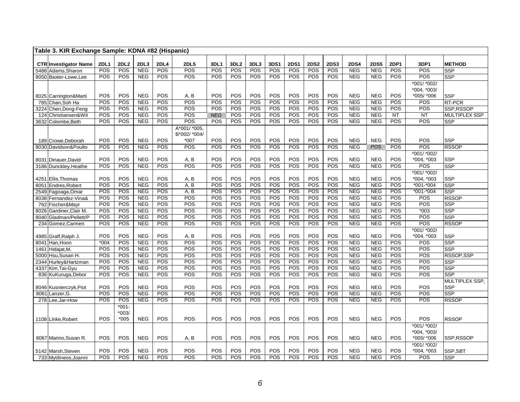|     | Table 3. KIR Exchange Sample: KDNA #82 (Hispanic) |                    |                    |                    |                    |                    |             |                         |             |             |                    |                    |                    |                           |                           |             |                              |                          |
|-----|---------------------------------------------------|--------------------|--------------------|--------------------|--------------------|--------------------|-------------|-------------------------|-------------|-------------|--------------------|--------------------|--------------------|---------------------------|---------------------------|-------------|------------------------------|--------------------------|
|     |                                                   |                    |                    |                    |                    |                    |             |                         |             |             |                    |                    |                    |                           |                           |             |                              |                          |
|     | <b>CTR Investigator Name</b>                      | <b>2DL1</b><br>POS | <b>2DL2</b><br>POS | 2DL3<br><b>NEG</b> | <b>2DL4</b><br>POS | <b>2DL5</b><br>POS | 3DL1<br>POS | 3DL <sub>2</sub><br>POS | 3DL3<br>POS | 3DS1<br>POS | <b>2DS1</b><br>POS | <b>2DS2</b><br>POS | <b>2DS3</b><br>POS | <b>2DS4</b><br><b>NEG</b> | <b>2DS5</b><br><b>NEG</b> | 2DP1<br>POS | 3DP1<br>POS                  | <b>METHOD</b>            |
|     | 5488 Adams, Sharon<br>8050 Baxter-Lowe.Lee        | POS                | <b>POS</b>         | <b>NEG</b>         | POS                | POS                | POS         | POS                     | POS         | POS         | POS                | <b>POS</b>         | POS                | <b>NEG</b>                | <b>NEG</b>                | POS         | POS                          | <b>SSP</b><br><b>SSP</b> |
|     |                                                   |                    |                    |                    |                    |                    |             |                         |             |             |                    |                    |                    |                           |                           |             |                              |                          |
|     |                                                   |                    |                    |                    |                    |                    |             |                         |             |             |                    |                    |                    |                           |                           |             | *001/ *002/<br>$*004, *003/$ |                          |
|     | 8025 Carrington&Marti                             | POS                | POS                | <b>NEG</b>         | POS                | A, B               | POS         | POS                     | POS         | POS         | POS                | POS                | POS                | <b>NEG</b>                | <b>NEG</b>                | POS         | *005/ *006                   | <b>SSP</b>               |
|     | 785 Chan.Soh Ha                                   | POS                | POS                | <b>NEG</b>         | POS                | POS                | POS         | POS                     | POS         | POS         | POS                | POS                | POS                | <b>NEG</b>                | <b>NEG</b>                | POS         | POS                          | <b>RT-PCR</b>            |
|     | 3224 Chen, Dong-Feng                              | POS                | POS                | <b>NEG</b>         | POS                | POS                | POS         | POS                     | POS         | POS         | POS                | POS                | POS                | <b>NEG</b>                | <b>NEG</b>                | POS         | POS                          | SSP.RSSOP                |
| 124 | Christiansen&Wit                                  | POS                | POS                | <b>NEG</b>         | POS                | POS                | <b>NEG</b>  | POS                     | POS         | <b>POS</b>  | POS                | POS                | POS                | <b>NEG</b>                | <b>NEG</b>                | <b>NT</b>   | <b>NT</b>                    | <b>MULTIPLEX SSP</b>     |
|     | 3632 Colombe, Beth                                | <b>POS</b>         | POS                | <b>NEG</b>         | POS                | POS                | POS         | POS                     | POS         | POS         | POS                | POS                | POS                | <b>NEG</b>                | NEG                       | <b>POS</b>  | POS                          | <b>SSP</b>               |
|     |                                                   |                    |                    |                    |                    | A*001/ *005,       |             |                         |             |             |                    |                    |                    |                           |                           |             |                              |                          |
|     |                                                   |                    |                    |                    |                    | B*002/ *004/       |             |                         |             |             |                    |                    |                    |                           |                           |             |                              |                          |
|     | 189 Crowe, Deborah                                | <b>POS</b>         | POS                | <b>NEG</b>         | POS                | $*007$             | POS         | POS                     | POS         | <b>POS</b>  | POS                | <b>POS</b>         | POS                | <b>NEG</b>                | <b>NEG</b>                | POS         | POS                          | <b>SSP</b>               |
|     | 8030 Davidson&Poulto                              | POS                | POS                | <b>NEG</b>         | POS                | $\overline{POS}$   | POS         | POS                     | POS         | POS         | POS                | POS                | POS                | <b>NEG</b>                | <b>POS</b>                | POS         | POS                          | <b>RSSOP</b>             |
|     |                                                   |                    |                    |                    |                    |                    |             |                         |             |             |                    |                    |                    |                           |                           |             | *001/ *002/                  |                          |
|     | 8031 Dinauer, David                               | POS                | POS                | <b>NEG</b>         | POS                | A, B               | POS         | POS                     | POS         | POS         | POS                | POS                | POS                | <b>NEG</b>                | <b>NEG</b>                | POS         | *004, *003                   | <b>SSP</b>               |
|     | 3186 Dunckley, Heathe                             | POS                | POS                | <b>NEG</b>         | POS                | $\overline{POS}$   | POS         | POS                     | POS         | POS         | POS                | POS                | POS                | <b>NEG</b>                | <b>NEG</b>                | <b>POS</b>  | POS                          | <b>SSP</b>               |
|     |                                                   |                    |                    |                    |                    |                    |             |                         |             |             |                    |                    |                    |                           |                           |             | *001/ *002/                  |                          |
|     | 4251 Ellis, Thomas                                | POS                | POS                | <b>NEG</b>         | POS                | A, B               | POS         | POS                     | POS         | POS         | POS                | POS                | POS                | <b>NEG</b>                | <b>NEG</b>                | POS         | *004. *003                   | SSP                      |
|     | 8051 Endres, Robert                               | POS                | POS                | <b>NEG</b>         | POS                | A, B               | POS         | POS                     | POS         | POS         | POS                | POS                | POS                | <b>NEG</b>                | <b>NEG</b>                | POS         | $*001 - *004$                | SSP                      |
|     | 2549 Fagoaga, Omar                                | POS                | POS                | <b>NEG</b>         | <b>POS</b>         | A, B               | POS         | POS                     | POS         | POS         | POS                | POS                | POS                | <b>NEG</b>                | <b>NEG</b>                | <b>POS</b>  | $*001 - *004$                | <b>SSP</b>               |
|     | 8038 Fernandez-Vina&                              | POS                | POS                | <b>NEG</b>         | POS                | POS                | POS         | POS                     | POS         | POS         | POS                | POS                | POS                | <b>NEG</b>                | <b>NEG</b>                | POS         | POS                          | <b>RSSOP</b>             |
| 762 | Fischer&Mayr                                      | POS                | POS                | <b>NEG</b>         | POS                | POS                | POS         | POS                     | POS         | POS         | POS                | POS                | POS                | <b>NEG</b>                | <b>NEG</b>                | POS         | POS                          | <b>SSP</b>               |
|     | 8026 Gardiner, Clair M                            | POS                | POS                | <b>NEG</b>         | POS                | POS                | POS         | POS                     | POS         | POS         | POS                | POS                | POS                | <b>NEG</b>                | <b>NEG</b>                | POS         | $*003$                       | <b>SSP</b>               |
|     | 8040 Gladman/Pellett/P                            | POS                | POS                | NEG                | POS                | POS                | POS         | POS                     | POS         | POS         | POS                | POS                | POS                | <b>NEG</b>                | <b>NEG</b>                | POS         | POS                          | SSP                      |
|     | 234 Gomez, Carmen                                 | POS                | POS                | <b>NEG</b>         | POS                | POS                | POS         | POS                     | POS         | POS         | POS                | POS                | POS                | <b>NEG</b>                | <b>NEG</b>                | POS         | POS                          | <b>RSSOP</b>             |
|     |                                                   |                    |                    |                    |                    |                    |             |                         |             |             |                    |                    |                    |                           |                           |             | *001/ *002/                  |                          |
|     | 4985 Graff, Ralph J.                              | POS                | POS                | <b>NEG</b>         | POS                | A, B               | POS         | POS                     | POS         | POS         | POS                | POS                | POS                | <b>NEG</b>                | <b>NEG</b>                | POS         | *004, *003                   | <b>SSP</b>               |
|     | 8041 Han, Hoon                                    | $*004$             | POS                | <b>NEG</b>         | POS                | POS                | POS         | POS                     | POS         | POS         | POS                | POS                | POS                | <b>NEG</b>                | <b>NEG</b>                | POS         | POS                          | <b>SSP</b>               |
|     | 1461 Hidajat, M.                                  | POS                | POS                | NEG                | POS                | POS                | POS         | POS                     | POS         | POS         | POS                | POS                | POS                | <b>NEG</b>                | NEG                       | POS         | POS                          | <b>SSP</b>               |
|     | 5000 Hsu, Susan H.                                | POS                | POS                | <b>NEG</b>         | POS                | POS                | POS         | POS                     | POS         | POS         | POS                | POS                | POS                | <b>NEG</b>                | <b>NEG</b>                | POS         | POS                          | RSSOP,SSP                |
|     | 2344 Hurley& Hartzman                             | POS                | POS                | <b>NEG</b>         | POS                | POS                | POS         | POS                     | POS         | POS         | POS                | POS                | POS                | <b>NEG</b>                | <b>NEG</b>                | POS         | POS                          | <b>SSP</b>               |
|     | 4337 Kim, Tai-Gyu                                 | <b>POS</b>         | POS                | <b>NEG</b>         | POS                | POS                | POS         | POS                     | POS         | POS         | POS                | POS                | POS                | <b>NEG</b>                | <b>NEG</b>                | POS         | POS                          | <b>SSP</b>               |
|     | 836 KuKuruga, Debor                               | POS                | POS                | NEG                | POS                | POS                | POS         | POS                     | POS         | POS         | POS                | POS                | POS                | <b>NEG</b>                | <b>NEG</b>                | POS         | POS                          | <b>SSP</b>               |
|     |                                                   |                    |                    |                    |                    |                    |             |                         |             |             |                    |                    |                    |                           |                           |             |                              | MULTIPLEX SSP,           |
|     | 8046 Kusnierczyk, Piot                            | POS                | POS                | <b>NEG</b>         | POS                | POS                | POS         | POS                     | POS         | POS         | POS                | POS                | POS                | <b>NEG</b>                | <b>NEG</b>                | POS         | POS                          | <b>SSP</b>               |
|     | 8061 Lanzer.G.                                    | POS                | POS                | <b>NEG</b>         | POS                | POS                | POS         | POS                     | POS         | POS         | POS                | POS                | POS                | <b>NEG</b>                | <b>NEG</b>                | POS         | POS                          | SSP                      |
|     | 278 Lee, Jar-How                                  | POS                | POS                | <b>NEG</b>         | POS                | POS                | POS         | POS                     | POS         | POS         | POS                | POS                | POS                | <b>NEG</b>                | <b>NEG</b>                | POS         | POS                          | <b>RSSOP</b>             |
|     |                                                   |                    | $*001 -$           |                    |                    |                    |             |                         |             |             |                    |                    |                    |                           |                           |             |                              |                          |
|     |                                                   |                    | $*003/$            |                    |                    |                    |             |                         |             |             |                    |                    |                    |                           |                           |             |                              |                          |
|     | 1108 Linke, Robert                                | <b>POS</b>         | $*005$             | <b>NEG</b>         | POS                | POS                | POS         | POS                     | POS         | POS         | POS                | POS                | POS                | <b>NEG</b>                | <b>NEG</b>                | POS         | POS                          | <b>RSSOP</b>             |
|     |                                                   |                    |                    |                    |                    |                    |             |                         |             |             |                    |                    |                    |                           |                           |             | *001/ *002/                  |                          |
|     |                                                   |                    |                    |                    |                    |                    | POS         |                         |             | POS         |                    |                    | POS                | <b>NEG</b>                |                           |             | *004, *003/                  |                          |
|     | 8067 Marino Susan R.                              | POS                | POS                | <b>NEG</b>         | POS                | A. B               |             | POS                     | POS         |             | POS                | POS                |                    |                           | <b>NEG</b>                | POS         | *005/ *006                   | SSP.RSSOP                |
|     |                                                   | POS                | POS                | <b>NEG</b>         | POS                | POS                | POS         | POS                     | POS         | POS         | POS                | POS                | POS                | <b>NEG</b>                | <b>NEG</b>                | POS         | *001/ *002/<br>*004, *003    |                          |
|     | 5142 Marsh, Steven<br>733 Mytilineos, Joanni      | POS                | POS                | <b>NEG</b>         | POS                | POS                | POS         | POS                     | POS         | POS         | POS                | POS                | POS                | <b>NEG</b>                | <b>NEG</b>                | POS         | POS                          | SSP,SBT<br>SSP           |
|     |                                                   |                    |                    |                    |                    |                    |             |                         |             |             |                    |                    |                    |                           |                           |             |                              |                          |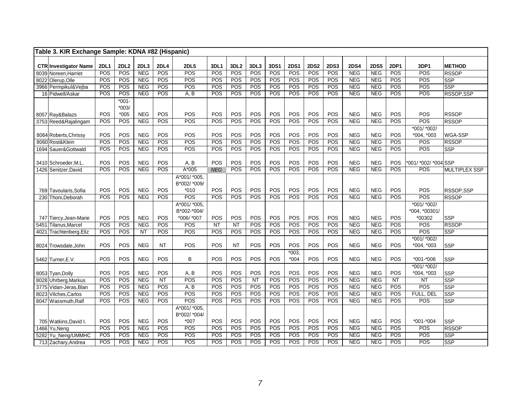| Table 3. KIR Exchange Sample: KDNA #82 (Hispanic) |                    |                   |                          |                    |                           |                    |                                |             |             |                    |                    |                    |                          |                    |                    |                             |                         |
|---------------------------------------------------|--------------------|-------------------|--------------------------|--------------------|---------------------------|--------------------|--------------------------------|-------------|-------------|--------------------|--------------------|--------------------|--------------------------|--------------------|--------------------|-----------------------------|-------------------------|
|                                                   |                    |                   |                          |                    |                           |                    |                                |             |             |                    |                    |                    |                          |                    |                    |                             |                         |
| <b>CTR Investigator Name</b>                      | <b>2DL1</b><br>POS | 2DL2<br>POS       | 2DL3<br><b>NEG</b>       | <b>2DL4</b><br>POS | <b>2DL5</b><br>POS        | <b>3DL1</b><br>POS | 3DL <sub>2</sub><br><b>POS</b> | 3DL3<br>POS | 3DS1<br>POS | <b>2DS1</b><br>POS | <b>2DS2</b><br>POS | <b>2DS3</b><br>POS | <b>2DS4</b><br>NEG       | <b>2DS5</b><br>NEG | <b>2DP1</b><br>POS | 3DP1<br>POS                 | <b>METHOD</b>           |
| 8039 Noreen, Harriet                              | POS                | POS               | <b>NEG</b>               | POS                | POS                       | POS                | POS                            | POS         | POS         | POS                | POS                | POS                | <b>NEG</b>               | <b>NEG</b>         | <b>POS</b>         | POS                         | <b>RSSOP</b>            |
| 8022 Olerup, Olle                                 |                    | POS               | <b>NEG</b>               | POS                | POS                       | POS                | POS                            | POS         | POS         | POS                | POS                | POS                |                          | <b>NEG</b>         | <b>POS</b>         | POS                         | <b>SSP</b>              |
| 3966 Permpikul&Vejba                              | POS<br>POS         | POS               | <b>NEG</b>               | POS                | A, B                      | POS                | <b>POS</b>                     | POS         | POS         | POS                | POS                | POS                | <b>NEG</b><br><b>NEG</b> | <b>NEG</b>         | <b>POS</b>         | POS                         | <b>SSP</b>              |
| 16 Pidwell/Askar                                  |                    |                   |                          |                    |                           |                    |                                |             |             |                    |                    |                    |                          |                    |                    |                             | RSSOP, SSP              |
|                                                   |                    | $*001-$           |                          |                    |                           |                    |                                |             |             |                    |                    |                    |                          |                    |                    |                             |                         |
|                                                   | POS                | $*003/$<br>$*005$ | <b>NEG</b>               | POS                | POS                       | POS                | POS                            | POS         | POS         | POS                | POS                | POS                | <b>NEG</b>               | <b>NEG</b>         | POS                | POS                         | <b>RSSOP</b>            |
| 8057 Ray&Balazs                                   | POS                | POS               | <b>NEG</b>               | POS                | POS                       | POS                | POS                            | POS         | POS         | POS                | POS                | POS                | NEG                      | NEG                | POS                | POS                         |                         |
| 3753 Reed&Rajalingam                              |                    |                   |                          |                    |                           |                    |                                |             |             |                    |                    |                    |                          |                    |                    |                             | <b>RSSOP</b>            |
|                                                   |                    | POS               |                          | POS                |                           | POS                | POS                            |             |             |                    |                    | POS                |                          | <b>NEG</b>         |                    | *001/ *002/                 |                         |
| 8064 Roberts, Chrissy<br>8060 Rost&Klein          | POS<br>POS         | POS               | <b>NEG</b><br><b>NEG</b> | POS                | POS<br>POS                | POS                | POS                            | POS<br>POS  | POS<br>POS  | POS<br>POS         | POS<br>POS         | POS                | <b>NEG</b><br><b>NEG</b> | <b>NEG</b>         | POS<br>POS         | *004, *003<br>POS           | WGA-SSP<br><b>RSSOP</b> |
|                                                   | POS                | POS               |                          | POS                | POS                       | POS                | POS                            | POS         | POS         | POS                | POS                | POS                | <b>NEG</b>               | NEG                | POS                | POS                         |                         |
| 1694 Sauer&Gottwald                               |                    |                   | <b>NEG</b>               |                    |                           |                    |                                |             |             |                    |                    |                    |                          |                    |                    |                             | <b>SSP</b>              |
|                                                   | POS                | POS               | <b>NEG</b>               | POS                |                           | POS                | POS                            | POS         | POS         | POS                | POS                | POS                | <b>NEG</b>               | <b>NEG</b>         | POS                |                             |                         |
| 3410 Schroeder, M.L.                              | POS                | POS               | <b>NEG</b>               | POS                | A, B<br>$A*005$           |                    | POS                            | POS         | POS         | POS                | POS                | POS                | <b>NEG</b>               | <b>NEG</b>         | POS                | *001/ *002/ *004 SSP<br>POS |                         |
| 1426 Senitzer, David                              |                    |                   |                          |                    |                           | <b>NEG</b>         |                                |             |             |                    |                    |                    |                          |                    |                    |                             | MULTIPLEX SSP           |
|                                                   |                    |                   |                          |                    | $A*001/*005,$             |                    |                                |             |             |                    |                    |                    |                          |                    |                    |                             |                         |
|                                                   | POS                | POS               | <b>NEG</b>               | POS                | B*002/ *009/<br>$*010$    | POS                | POS                            | POS         |             | POS                | POS                | POS                | <b>NEG</b>               | <b>NEG</b>         | POS                | POS                         |                         |
| 769 Tavoularis, Sofia                             | POS                | POS               | <b>NEG</b>               | POS                | POS                       | POS                | POS                            | POS         | POS<br>POS  | POS                | POS                | POS                | NEG                      | NEG                | POS                | POS                         | RSSOP,SSP               |
| 230 Thoni, Deborah                                |                    |                   |                          |                    |                           |                    |                                |             |             |                    |                    |                    |                          |                    |                    |                             | <b>RSSOP</b>            |
|                                                   |                    |                   |                          |                    | $A*001/*005,$             |                    |                                |             |             |                    |                    |                    |                          |                    |                    | *001/ *002/                 |                         |
|                                                   |                    | POS               |                          | POS                | B*002-*004/<br>*006/ *007 | POS                | POS                            | POS         | POS         | POS                | POS                | POS                | <b>NEG</b>               | <b>NEG</b>         | POS                | *004, *00301/               |                         |
| 747 Tiercy, Jean-Marie                            | POS<br>POS         | POS               | <b>NEG</b><br><b>NEG</b> | POS                | POS                       | NT                 | NT                             | POS         | POS         | POS                | POS                | POS                | <b>NEG</b>               | <b>NEG</b>         | POS                | *00302<br>POS               | <b>SSP</b>              |
| 5451 Tilanus, Marcel                              | POS                | POS               |                          | POS                | POS                       | POS                | POS                            | POS         | POS         | POS                | POS                | POS                | <b>NEG</b>               | NEG                | POS                | POS                         | <b>RSSOP</b>            |
| 4021 Trachtenberg, Eliz                           |                    |                   | <b>NT</b>                |                    |                           |                    |                                |             |             |                    |                    |                    |                          |                    |                    |                             | $\overline{\text{SSP}}$ |
|                                                   |                    | POS               | <b>NEG</b>               | <b>NT</b>          | POS                       | POS                |                                | POS         | POS         | POS                | POS                | POS                | <b>NEG</b>               |                    | POS                | *001/ *002/                 |                         |
| 8024 Trowsdale, John                              | POS                |                   |                          |                    |                           |                    | <b>NT</b>                      |             |             |                    |                    |                    |                          | <b>NEG</b>         |                    | *004, *003                  | <b>SSP</b>              |
|                                                   | POS                | POS               | <b>NEG</b>               | POS                | B                         | POS                | POS                            | POS         |             | $*003,$<br>$*004$  | POS                | POS                | <b>NEG</b>               | <b>NEG</b>         | POS                | $*001 - *006$               |                         |
| 5462 Turner, E.V.                                 |                    |                   |                          |                    |                           |                    |                                |             | POS         |                    |                    |                    |                          |                    |                    |                             | <b>SSP</b>              |
|                                                   | POS                | POS               | <b>NEG</b>               | POS                | A, B                      | POS                | POS                            | POS         | POS         | POS                | POS                | POS                | <b>NEG</b>               | <b>NEG</b>         | POS                | *001/ *002/<br>*004, *003   |                         |
| 8053 Tyan, Dolly                                  | POS                | POS               | <b>NEG</b>               | <b>NT</b>          | POS                       | POS                | POS                            | NT          | POS         | POS                | POS                | POS                | <b>NEG</b>               | NEG                | <b>NT</b>          |                             | <b>SSP</b><br>SSP       |
| 8028 Uhrberg, Markus                              | POS                | POS               | NEG                      | POS                | A, B                      | POS                | POS                            | POS         | POS         | POS                | POS                | POS                | <b>NEG</b>               | <b>NEG</b>         | POS                | <b>NT</b>                   |                         |
| 3775 Vidan-Jeras, Blan                            | POS                | POS               | <b>NEG</b>               | POS                | POS                       | POS                | POS                            | POS         | POS         | POS                | POS                | POS                | <b>NEG</b>               | <b>NEG</b>         | POS                | POS<br>FULL, DEL            | <b>SSP</b>              |
| 8023 Vilches, Carlos                              |                    | POS               |                          | POS                | POS                       | POS                | POS                            | POS         | POS         | POS                |                    | POS                |                          |                    | <b>POS</b>         |                             | <b>SSP</b>              |
| 8047 Wassmuth, Ralf                               | POS                |                   | <b>NEG</b>               |                    |                           |                    |                                |             |             |                    | POS                |                    | <b>NEG</b>               | <b>NEG</b>         |                    | POS                         | <b>SSP</b>              |
|                                                   |                    |                   |                          |                    | $A*001/*005,$             |                    |                                |             |             |                    |                    |                    |                          |                    |                    |                             |                         |
|                                                   | POS                | POS               |                          | POS                | B*002/ *004/              | POS                | POS                            | POS         | POS         | POS                | POS                | POS                | <b>NEG</b>               |                    | POS                | $*001 - *004$               |                         |
| 705 Watkins, David I.                             | POS                |                   | <b>NEG</b>               | POS                | $*007$<br>POS             | POS                | POS                            | POS         | POS         | POS                | POS                | POS                | <b>NEG</b>               | <b>NEG</b>         | POS                |                             | <b>SSP</b>              |
| 1466 Yu, Neng                                     |                    | POS               | <b>NEG</b><br><b>NEG</b> |                    |                           |                    | POS                            | POS         |             | POS                |                    | POS                | <b>NEG</b>               | <b>NEG</b>         | POS                | POS                         | <b>RSSOP</b>            |
| 5282 Yu_Neng/UMMHC                                | POS                | POS               |                          | POS                | POS<br>POS                | POS                |                                |             | POS         |                    | POS                |                    |                          | <b>NEG</b>         |                    | POS<br>POS                  | <b>SSP</b>              |
| 713 Zachary, Andrea                               | POS                | POS               | <b>NEG</b>               | POS                |                           | <b>POS</b>         | POS                            | POS         | POS         | POS                | POS                | POS                | <b>NEG</b>               | NEG                | <b>POS</b>         |                             | <b>SSP</b>              |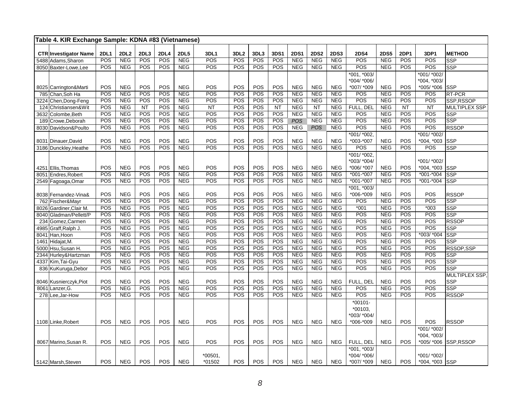| Table 4. KIR Exchange Sample: KDNA #83 (Vietnamese) |             |                          |            |            |                           |                  |                  |            |            |                   |                   |                          |               |                          |             |               |                          |
|-----------------------------------------------------|-------------|--------------------------|------------|------------|---------------------------|------------------|------------------|------------|------------|-------------------|-------------------|--------------------------|---------------|--------------------------|-------------|---------------|--------------------------|
| <b>CTR Investigator Name</b>                        | <b>2DL1</b> | <b>2DL2</b>              | 2DL3       | 2DL4       |                           | <b>3DL1</b>      | 3DL <sub>2</sub> | 3DL3       | 3DS1       | <b>2DS1</b>       | <b>2DS2</b>       | <b>2DS3</b>              | <b>2DS4</b>   | <b>2DS5</b>              | <b>2DP1</b> | 3DP1          | <b>METHOD</b>            |
| 5488 Adams, Sharon                                  | POS         | <b>NEG</b>               | POS        | POS        | <b>2DL5</b><br><b>NEG</b> | POS              | POS              | POS        | POS        | <b>NEG</b>        | <b>NEG</b>        | <b>NEG</b>               | POS           | <b>NEG</b>               | <b>POS</b>  | POS           | <b>SSP</b>               |
| 8050 Baxter-Lowe.Lee                                | POS         | <b>NEG</b>               | POS        | POS        | <b>NEG</b>                | POS              | POS              | POS        | POS        | <b>NEG</b>        | <b>NEG</b>        | <b>NEG</b>               | POS           | <b>NEG</b>               | POS         | POS           | <b>SSP</b>               |
|                                                     |             |                          |            |            |                           |                  |                  |            |            |                   |                   |                          | $*001, *003/$ |                          |             | *001/ *002/   |                          |
|                                                     |             |                          |            |            |                           |                  |                  |            |            |                   |                   |                          | *004/ *006/   |                          |             | *004, *003/   |                          |
| 8025 Carrington&Marti                               | POS         | <b>NEG</b>               | POS        | POS        | <b>NEG</b>                | POS              | POS              | POS        | POS        | <b>NEG</b>        | <b>NEG</b>        | <b>NEG</b>               | *007/ *009    | <b>NEG</b>               | POS         | *005/ *006    | <b>SSP</b>               |
| 785 Chan, Soh Ha                                    | POS         | <b>NEG</b>               | POS        | POS        | <b>NEG</b>                | POS              | POS              | POS        | POS        | <b>NEG</b>        | <b>NEG</b>        | <b>NEG</b>               | POS           | <b>NEG</b>               | POS         | POS           | RT-PCR                   |
| 3224 Chen, Dong-Feng                                | POS         | <b>NEG</b>               | POS        | POS        | <b>NEG</b>                | POS              | POS              | POS        | POS        | <b>NEG</b>        | <b>NEG</b>        | <b>NEG</b>               | POS           | <b>NEG</b>               | POS         | POS           | SSP,RSSOP                |
| Christiansen&Wit<br>124                             | POS         | <b>NEG</b>               | <b>NT</b>  | POS        | <b>NEG</b>                | <b>NT</b>        | POS              | POS        | NT         | <b>NEG</b>        | $\overline{NT}$   | <b>NEG</b>               | FULL. DEL     | <b>NEG</b>               | <b>NT</b>   | <b>NT</b>     | MULTIPLEX SSP            |
| 3632 Colombe, Beth                                  | POS         | <b>NEG</b>               | POS        | POS        | <b>NEG</b>                | $\overline{POS}$ | POS              | POS        | POS        | <b>NEG</b>        | NEG               | <b>NEG</b>               | POS           | NEG                      | POS         | POS           | <b>SSP</b>               |
| 189 Crowe, Deborah                                  | POS         | <b>NEG</b>               | POS        | POS        | <b>NEG</b>                | POS              | <b>POS</b>       | POS        | POS        | <b>POS</b>        | <b>NEG</b>        | <b>NEG</b>               | POS           | <b>NEG</b>               | <b>POS</b>  | POS           | <b>SSP</b>               |
| 8030 Davidson&Poulto                                | POS         | <b>NEG</b>               | POS        | POS        | <b>NEG</b>                | POS              | POS              | POS        | POS        | <b>NEG</b>        | <b>POS</b>        | <b>NEG</b>               | POS           | <b>NEG</b>               | <b>POS</b>  | POS           | <b>RSSOP</b>             |
|                                                     |             |                          |            |            |                           |                  |                  |            |            |                   |                   |                          | *001/ *002.   |                          |             | *001/ *002/   |                          |
| 8031 Dinauer, David                                 | POS         | <b>NEG</b>               | POS        | POS        | <b>NEG</b>                | POS              | POS              | POS        | POS        | <b>NEG</b>        | NEG               | <b>NEG</b>               | *003-*007     | <b>NEG</b>               | POS         | *004, *003    | <b>SSP</b>               |
| 3186 Dunckley, Heathe                               | POS         | <b>NEG</b>               | POS        | POS        | <b>NEG</b>                | POS              | <b>POS</b>       | POS        | POS        | <b>NEG</b>        | <b>NEG</b>        | <b>NEG</b>               | POS           | <b>NEG</b>               | <b>POS</b>  | POS           | <b>SSP</b>               |
|                                                     |             |                          |            |            |                           |                  |                  |            |            |                   |                   |                          | *001/ *002.   |                          |             |               |                          |
|                                                     |             |                          |            |            |                           |                  |                  |            |            |                   |                   |                          | *003/ *004/   |                          |             | *001/ *002/   |                          |
| 4251 Ellis, Thomas                                  | POS         | <b>NEG</b>               | POS        | POS        | <b>NEG</b>                | POS              | POS              | POS        | POS        | <b>NEG</b>        | <b>NEG</b>        | <b>NEG</b>               | *006/ *007    | <b>NEG</b>               | POS         | *004, *003    | <b>SSP</b>               |
| 8051 Endres, Robert                                 | POS         | <b>NEG</b>               | POS        | POS        | <b>NEG</b>                | POS              | POS              | POS        | POS        | <b>NEG</b>        | <b>NEG</b>        | <b>NEG</b>               | *001-*007     | <b>NEG</b>               | POS         | *001-*004     | <b>SSP</b>               |
| 2549 Fagoaga, Omar                                  | POS         | <b>NEG</b>               | POS        | POS        | <b>NEG</b>                | POS              | POS              | POS        | POS        | <b>NEG</b>        | <b>NEG</b>        | <b>NEG</b>               | $*001 - *007$ | <b>NEG</b>               | POS         | $*001 - *004$ | <b>SSP</b>               |
|                                                     |             |                          |            |            |                           |                  |                  |            |            |                   |                   |                          | *001, *003/   |                          |             |               |                          |
| 8038 Fernandez-Vina&                                | POS         | <b>NEG</b>               | POS        | POS        | <b>NEG</b>                | POS              | POS              | POS        | POS        | <b>NEG</b>        | <b>NEG</b>        | <b>NEG</b>               | *006-*009     | <b>NEG</b>               | POS         | POS           | <b>RSSOP</b>             |
| 762 Fischer&Mayr                                    | POS         | <b>NEG</b>               | POS        | POS        | <b>NEG</b>                | POS              | POS              | POS        | POS        | <b>NEG</b>        | <b>NEG</b>        | <b>NEG</b>               | POS           | <b>NEG</b>               | POS         | POS           | <b>SSP</b>               |
| 8026 Gardiner, Clair M                              | POS         | <b>NEG</b>               | POS        | POS        | <b>NEG</b>                | POS              | POS              | POS        | POS        | <b>NEG</b>        | <b>NEG</b>        | <b>NEG</b>               | $*001$        | <b>NEG</b>               | POS         | $*003$        | <b>SSP</b>               |
| 8040 Gladman/Pellett/P                              | POS         | <b>NEG</b>               | POS        | POS        | <b>NEG</b>                | POS              | POS              | POS        | POS        | <b>NEG</b>        | <b>NEG</b>        | <b>NEG</b>               | POS           | <b>NEG</b>               | POS         | POS           | <b>SSP</b>               |
| 234 Gomez, Carmen                                   | POS         | <b>NEG</b>               | POS        | POS        | <b>NEG</b>                | POS              | POS              | POS        | POS        | <b>NEG</b>        | <b>NEG</b>        | <b>NEG</b>               | POS           | <b>NEG</b>               | POS         | POS           | <b>RSSOP</b>             |
| 4985 Graff, Ralph J.                                | POS         | <b>NEG</b>               | POS        | POS        | <b>NEG</b>                | POS              | POS              | POS        | POS        | <b>NEG</b>        | <b>NEG</b>        | <b>NEG</b>               | POS           | <b>NEG</b>               | POS         | POS           | <b>SSP</b>               |
| 8041 Han, Hoon                                      | POS         | <b>NEG</b>               | POS        | POS        | <b>NEG</b>                | POS              | POS              | POS        | POS        | <b>NEG</b>        | <b>NEG</b>        | <b>NEG</b>               | POS           | <b>NEG</b>               | POS         | $*003/*004$   | <b>SSP</b>               |
| 1461 Hidajat, M.                                    | POS         | <b>NEG</b>               | POS        | POS        | <b>NEG</b>                | POS              | POS              | POS        | POS        | <b>NEG</b>        | <b>NEG</b>        | <b>NEG</b>               | POS           | <b>NEG</b>               | POS         | POS           | <b>SSP</b>               |
| 5000 Hsu, Susan H.                                  | POS<br>POS  | <b>NEG</b><br><b>NEG</b> | POS<br>POS | POS<br>POS | <b>NEG</b><br><b>NEG</b>  | POS<br>POS       | POS<br>POS       | POS<br>POS | POS<br>POS | NEG<br><b>NEG</b> | NEG<br><b>NEG</b> | <b>NEG</b><br><b>NEG</b> | POS<br>POS    | <b>NEG</b><br><b>NEG</b> | POS<br>POS  | POS<br>POS    | RSSOP,SSP                |
| 2344 Hurley&Hartzman                                | POS         | <b>NEG</b>               | POS        | POS        |                           | POS              | POS              |            | POS        | <b>NEG</b>        | <b>NEG</b>        |                          | POS           |                          | POS         | POS           | <b>SSP</b>               |
| 4337 Kim, Tai-Gyu                                   | POS         | <b>NEG</b>               | POS        | POS        | <b>NEG</b><br><b>NEG</b>  | POS              | POS              | POS<br>POS | POS        | <b>NEG</b>        | <b>NEG</b>        | <b>NEG</b><br><b>NEG</b> | POS           | <b>NEG</b><br><b>NEG</b> | POS         | POS           | <b>SSP</b><br><b>SSP</b> |
| 836 KuKuruga, Debor                                 |             |                          |            |            |                           |                  |                  |            |            |                   |                   |                          |               |                          |             |               | <b>MULTIPLEX SSP</b>     |
| 8046 Kusnierczyk, Piot                              | POS         | <b>NEG</b>               | POS        | POS        | <b>NEG</b>                | <b>POS</b>       | POS              | <b>POS</b> | POS        | <b>NEG</b>        | <b>NEG</b>        | <b>NEG</b>               | FULL, DEL     | <b>NEG</b>               | <b>POS</b>  | <b>POS</b>    | <b>SSP</b>               |
| 8061 Lanzer, G.                                     | POS         | <b>NEG</b>               | POS        | POS        | <b>NEG</b>                | POS              | POS              | POS        | POS        | <b>NEG</b>        | <b>NEG</b>        | <b>NEG</b>               | POS           | <b>NEG</b>               | POS         | POS           | <b>SSP</b>               |
| 278 Lee, Jar-How                                    | POS         | <b>NEG</b>               | POS        | POS        | <b>NEG</b>                | POS              | POS              | POS        | POS        | <b>NEG</b>        | <b>NEG</b>        | <b>NEG</b>               | POS           | <b>NEG</b>               | POS         | POS           | <b>RSSOP</b>             |
|                                                     |             |                          |            |            |                           |                  |                  |            |            |                   |                   |                          | $*00101 -$    |                          |             |               |                          |
|                                                     |             |                          |            |            |                           |                  |                  |            |            |                   |                   |                          | *00103,       |                          |             |               |                          |
|                                                     |             |                          |            |            |                           |                  |                  |            |            |                   |                   |                          | *003/ *004/   |                          |             |               |                          |
| 1108 Linke, Robert                                  | POS         | <b>NEG</b>               | POS        | POS        | <b>NEG</b>                | POS              | POS              | POS        | POS        | <b>NEG</b>        | <b>NEG</b>        | <b>NEG</b>               | *006-*009     | <b>NEG</b>               | POS         | POS           | <b>RSSOP</b>             |
|                                                     |             |                          |            |            |                           |                  |                  |            |            |                   |                   |                          |               |                          |             | *001/ *002/   |                          |
|                                                     |             |                          |            |            |                           |                  |                  |            |            |                   |                   |                          |               |                          |             | *004, *003/   |                          |
| 8067 Marino, Susan R.                               | POS         | <b>NEG</b>               | POS        | POS        | <b>NEG</b>                | POS              | POS              | POS        | <b>POS</b> | <b>NEG</b>        | <b>NEG</b>        | <b>NEG</b>               | FULL, DEL     | <b>NEG</b>               | <b>POS</b>  | *005/ *006    | SSP.RSSOP                |
|                                                     |             |                          |            |            |                           |                  |                  |            |            |                   |                   |                          | *001. *003/   |                          |             |               |                          |
|                                                     |             |                          |            |            |                           | $*00501$ ,       |                  |            |            |                   |                   |                          | *004/ *006/   |                          |             | *001/ *002/   |                          |
| 5142 Marsh, Steven                                  | POS         | <b>NEG</b>               | POS        | POS        | <b>NEG</b>                | *01502           | <b>POS</b>       | POS        | POS        | <b>NEG</b>        | <b>NEG</b>        | <b>NEG</b>               | *007/ *009    | <b>NEG</b>               | POS         | *004, *003    | <b>SSP</b>               |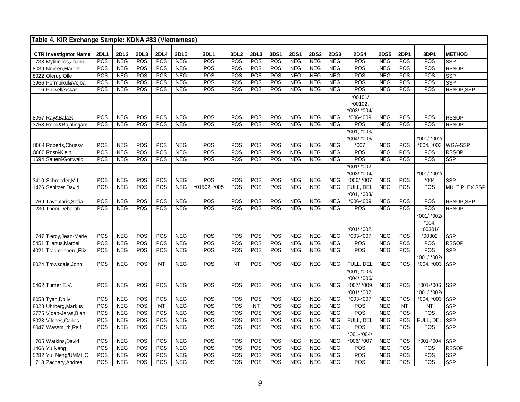| Table 4. KIR Exchange Sample: KDNA #83 (Vietnamese) |             |                          |            |                  |                          |              |                  |            |            |                          |                          |                          |                                                  |                          |            |                                               |                                |
|-----------------------------------------------------|-------------|--------------------------|------------|------------------|--------------------------|--------------|------------------|------------|------------|--------------------------|--------------------------|--------------------------|--------------------------------------------------|--------------------------|------------|-----------------------------------------------|--------------------------------|
| <b>CTR Investigator Name</b>                        | <b>2DL1</b> | 2DL2                     | 2DL3       | <b>2DL4</b>      | <b>2DL5</b>              | 3DL1         | 3DL <sub>2</sub> | 3DL3       | 3DS1       | <b>2DS1</b>              | <b>2DS2</b>              | <b>2DS3</b>              | <b>2DS4</b>                                      | <b>2DS5</b>              | 2DP1       | 3DP1                                          | <b>METHOD</b>                  |
| 733 Mytilineos, Joanni                              | POS         | <b>NEG</b>               | <b>POS</b> | POS              | <b>NEG</b>               | POS          | POS              | POS        | POS        | NEG                      | <b>NEG</b>               | <b>NEG</b>               | POS                                              | <b>NEG</b>               | POS        | POS                                           | <b>SSP</b>                     |
| 8039 Noreen, Harriet                                | POS         | <b>NEG</b>               | POS        | POS              | <b>NEG</b>               | POS          | POS              | POS        | POS        | <b>NEG</b>               | <b>NEG</b>               | <b>NEG</b>               | POS                                              | <b>NEG</b>               | POS        | POS                                           | <b>RSSOP</b>                   |
| 8022 Olerup, Olle                                   | POS         | <b>NEG</b>               | POS        | POS              | NEG                      | POS          | POS              | POS        | POS        | NEG                      | NEG                      | NEG                      | POS                                              | NEG                      | POS        | POS                                           | <b>SSP</b>                     |
| 3966 Permpikul&Vejba                                | POS         | <b>NEG</b>               | <b>POS</b> | POS              | <b>NEG</b>               | POS          | POS              | POS        | POS        | NEG                      | <b>NEG</b>               | NEG                      | POS                                              | <b>NEG</b>               | POS        | POS                                           | $\overline{\text{SSP}}$        |
| 16 Pidwell/Askar                                    | POS         | <b>NEG</b>               | POS        | POS              | <b>NEG</b>               | POS          | POS              | POS        | POS        | <b>NEG</b>               | <b>NEG</b>               | <b>NEG</b>               | POS                                              | <b>NEG</b>               | POS        | POS                                           | RSSOP,SSP                      |
| 8057 Ray&Balazs                                     | POS         | <b>NEG</b>               | POS        | POS              | <b>NEG</b>               | POS          | POS              | POS        | POS        | <b>NEG</b>               | <b>NEG</b>               | <b>NEG</b>               | $*00101/$<br>*00102.<br>*003/ *004/<br>*006-*009 | <b>NEG</b>               | POS        | POS                                           | <b>RSSOP</b>                   |
| 3753 Reed&Rajalingam                                | POS         | <b>NEG</b>               | POS        | POS              | <b>NEG</b>               | POS          | POS              | POS        | POS        | <b>NEG</b>               | <b>NEG</b>               | <b>NEG</b>               | POS                                              | <b>NEG</b>               | POS        | POS                                           | <b>RSSOP</b>                   |
| 8064 Roberts, Chrissy<br>8060 Rost&Klein            | POS<br>POS  | <b>NEG</b><br><b>NEG</b> | POS<br>POS | POS<br>POS       | <b>NEG</b><br><b>NEG</b> | POS<br>POS   | POS<br>POS       | POS<br>POS | POS<br>POS | <b>NEG</b><br><b>NEG</b> | <b>NEG</b><br><b>NEG</b> | <b>NEG</b><br><b>NEG</b> | *001, *003/<br>*004/ *006/<br>$*007$<br>POS      | <b>NEG</b><br><b>NEG</b> | POS<br>POS | *001/ *002/<br>*004, *003<br>POS              | <b>WGA-SSP</b><br><b>RSSOP</b> |
| 1694 Sauer& Gottwald                                | POS         | <b>NEG</b>               | POS        | POS              | <b>NEG</b>               | POS          | POS              | POS        | POS        | NEG                      | <b>NEG</b>               | <b>NEG</b>               | POS                                              | <b>NEG</b>               | POS        | POS                                           | <b>SSP</b>                     |
| 3410 Schroeder M.L                                  | POS         | <b>NEG</b>               | POS        | POS              | <b>NEG</b>               | POS          | POS              | POS        | POS        | <b>NEG</b>               | <b>NEG</b>               | <b>NEG</b>               | $*001/*002,$<br>*003/ *004/<br>*006/ *007        | <b>NEG</b>               | POS        | *001/ *002/<br>$*004$                         | <b>SSP</b>                     |
| 1426 Senitzer, David                                | POS         | <b>NEG</b>               | <b>POS</b> | POS              | <b>NEG</b>               | *01502, *005 | POS              | POS        | POS        | NEG                      | <b>NEG</b>               | <b>NEG</b>               | FULL, DEL                                        | <b>NEG</b>               | <b>POS</b> | POS                                           | MULTIPLEX SSP                  |
| 769 Tavoularis, Sofia                               | <b>POS</b>  | <b>NEG</b>               | POS        | POS              | <b>NEG</b>               | POS          | POS              | POS        | POS        | <b>NEG</b>               | <b>NEG</b>               | <b>NEG</b>               | *001, *003/<br>*006-*009                         | <b>NEG</b>               | POS        | POS                                           | RSSOP,SSP                      |
| 230 Thoni, Deborah                                  | POS         | <b>NEG</b>               | <b>POS</b> | <b>POS</b>       | <b>NEG</b>               | POS          | POS              | POS        | POS        | NEG                      | <b>NEG</b>               | <b>NEG</b>               | POS                                              | <b>NEG</b>               | POS        | POS                                           | <b>RSSOP</b>                   |
| 747 Tiercy, Jean-Marie                              | POS         | <b>NEG</b>               | POS        | POS              | <b>NEG</b>               | POS          | POS              | POS        | POS        | <b>NEG</b>               | <b>NEG</b>               | <b>NEG</b>               | *001/ *002.<br>*003-*007                         | <b>NEG</b>               | POS        | *001/ *002/<br>$*004,$<br>$*00301/$<br>*00302 | <b>SSP</b>                     |
| 5451 Tilanus, Marcel                                | POS         | <b>NEG</b>               | POS        | POS              | NEG                      | POS          | POS              | POS        | POS        | NEG                      | NEG                      | NEG                      | POS                                              | <b>NEG</b>               | POS        | POS                                           | <b>RSSOP</b>                   |
| Trachtenberg, Eliz<br>4021<br>8024 Trowsdale, John  | POS<br>POS  | <b>NEG</b><br><b>NEG</b> | POS<br>POS | POS<br><b>NT</b> | <b>NEG</b><br><b>NEG</b> | POS<br>POS   | POS<br><b>NT</b> | POS<br>POS | POS<br>POS | <b>NEG</b><br><b>NEG</b> | <b>NEG</b><br><b>NEG</b> | <b>NEG</b><br><b>NEG</b> | POS<br>FULL, DEL                                 | <b>NEG</b><br><b>NEG</b> | POS<br>POS | POS<br>*001/ *002/<br>*004, *003              | <b>SSP</b><br>SSP              |
| 5462 Turner, E.V.                                   | POS         | <b>NEG</b>               | POS        | POS              | <b>NEG</b>               | POS          | POS              | POS        | POS        | <b>NEG</b>               | <b>NEG</b>               | <b>NEG</b>               | *001, *003/<br>*004/ *006/<br>*007/ *009         | <b>NEG</b>               | POS        | $*001 - *006$                                 | <b>SSP</b>                     |
| 8053 Tyan, Dolly                                    | POS         | <b>NEG</b>               | POS        | POS              | <b>NEG</b>               | POS          | POS              | POS        | POS        | <b>NEG</b>               | <b>NEG</b>               | <b>NEG</b>               | *001/ *002.<br>*003-*007                         | <b>NEG</b>               | <b>POS</b> | *001/ *002/<br>*004, *003                     | <b>SSP</b>                     |
| 8028 Uhrberg, Markus                                | POS         | <b>NEG</b>               | POS        | NT               | <b>NEG</b>               | POS          | POS              | NT         | POS        | <b>NEG</b>               | NEG                      | <b>NEG</b>               | POS                                              | <b>NEG</b>               | <b>NT</b>  | <b>NT</b>                                     | SSP                            |
| 3775 Vidan-Jeras, Blan                              | POS         | <b>NEG</b>               | POS        | POS              | <b>NEG</b>               | POS          | POS              | POS        | POS        | NEG                      | <b>NEG</b>               | <b>NEG</b>               | POS                                              | <b>NEG</b>               | POS        | POS                                           | <b>SSP</b>                     |
| 8023 Vilches.Carlos                                 | POS         | <b>NEG</b>               | POS        | POS              | NEG                      | POS          | POS              | POS        | POS        | NEG                      | <b>NEG</b>               | NEG                      | FULL, DEL                                        | NEG                      | <b>POS</b> | FULL, DEL                                     | <b>SSP</b>                     |
| 8047 Wassmuth, Ralf<br>705 Watkins, David I.        | POS<br>POS  | <b>NEG</b><br><b>NEG</b> | POS<br>POS | POS<br>POS       | <b>NEG</b><br><b>NEG</b> | POS<br>POS   | POS<br>POS       | POS<br>POS | POS<br>POS | <b>NEG</b><br><b>NEG</b> | <b>NEG</b><br><b>NEG</b> | <b>NEG</b><br><b>NEG</b> | POS<br>$*001 - *004/$<br>*006/ *007              | <b>NEG</b><br><b>NEG</b> | POS<br>POS | POS<br>$*001 - *004$                          | <b>SSP</b><br><b>SSP</b>       |
| 1466 Yu, Neng                                       | POS         | <b>NEG</b>               | POS        | POS              | <b>NEG</b>               | POS          | POS              | POS        | POS        | <b>NEG</b>               | <b>NEG</b>               | <b>NEG</b>               | POS                                              | <b>NEG</b>               | POS        | POS                                           | <b>RSSOP</b>                   |
| 5282 Yu_Neng/UMMHC                                  | POS         | <b>NEG</b>               | POS        | POS              | <b>NEG</b>               | POS          | POS              | POS        | POS        | <b>NEG</b>               | <b>NEG</b>               | <b>NEG</b>               | POS                                              | NEG                      | POS        | POS                                           | <b>SSP</b>                     |
| 713 Zachary, Andrea                                 | POS         | <b>NEG</b>               | POS        | POS              | <b>NEG</b>               | POS          | POS              | POS        | POS        | NEG                      | NEG                      | <b>NEG</b>               | POS                                              | <b>NEG</b>               | POS        | POS                                           | <b>SSP</b>                     |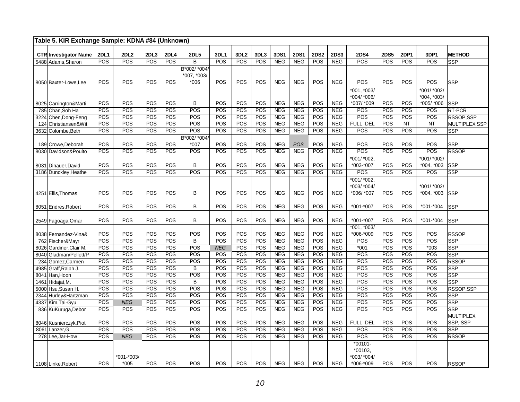| Table 5. KIR Exchange Sample: KDNA #84 (Unknown) |                  |             |            |                   |                  |                           |                  |            |                          |             |             |                          |               |             |             |               |                  |
|--------------------------------------------------|------------------|-------------|------------|-------------------|------------------|---------------------------|------------------|------------|--------------------------|-------------|-------------|--------------------------|---------------|-------------|-------------|---------------|------------------|
| <b>CTR Investigator Name</b>                     | <b>2DL1</b>      | <b>2DL2</b> | 2DL3       | <b>2DL4</b>       | <b>2DL5</b>      | 3DL1                      | 3DL <sub>2</sub> | 3DL3       | 3DS1                     | <b>2DS1</b> | <b>2DS2</b> | <b>2DS3</b>              | <b>2DS4</b>   | <b>2DS5</b> | <b>2DP1</b> | 3DP1          | <b>METHOD</b>    |
| 5488 Adams, Sharon                               | POS              | POS         | <b>POS</b> | POS               | B                | POS                       | POS              | <b>POS</b> | <b>NEG</b>               | <b>NEG</b>  | <b>POS</b>  | <b>NEG</b>               | POS           | POS         | POS         | POS           | <b>SSP</b>       |
|                                                  |                  |             |            |                   | B*002/ *004/     |                           |                  |            |                          |             |             |                          |               |             |             |               |                  |
|                                                  |                  |             |            |                   | *007, *003/      |                           |                  |            |                          |             |             |                          |               |             |             |               |                  |
| 8050 Baxter-Lowe, Lee                            | POS              | POS         | POS        | POS               | $*006$           | POS                       | POS              | POS        | <b>NEG</b>               | <b>NEG</b>  | POS         | <b>NEG</b>               | POS           | POS         | POS         | POS           | <b>SSP</b>       |
|                                                  |                  |             |            |                   |                  |                           |                  |            |                          |             |             |                          | *001. *003/   |             |             | *001/ *002/   |                  |
|                                                  |                  |             |            |                   |                  |                           |                  |            |                          |             |             |                          | *004/ *006/   |             |             | *004. *003/   |                  |
| 8025 Carrington&Marti                            | POS              | POS         | POS        | POS               | B                | POS                       | POS              | POS        | <b>NEG</b>               | <b>NEG</b>  | POS         | <b>NEG</b>               | *007/ *009    | POS         | POS         | *005/ *006    | <b>SSP</b>       |
| 785 Chan, Soh Ha                                 | POS              | POS         | POS        | POS               | POS              | POS                       | POS              | POS        | <b>NEG</b>               | <b>NEG</b>  | POS         | <b>NEG</b>               | POS           | POS         | POS         | POS           | RT-PCR           |
| 3224<br>Chen, Dong-Feng                          | POS              | POS         | POS        | POS               | POS              | POS                       | POS              | POS        | <b>NEG</b>               | <b>NEG</b>  | POS         | <b>NEG</b>               | POS           | POS         | POS         | POS           | RSSOP,SSP        |
| 124 Christiansen&Wit                             | <b>POS</b>       | POS         | POS        | POS               | POS              | POS                       | POS              | POS        | <b>NEG</b>               | <b>NEG</b>  | POS         | <b>NEG</b>               | FULL, DEL     | POS         | <b>NT</b>   | <b>NT</b>     | MULTIPLEX SSP    |
| 3632 Colombe, Beth                               | POS              | POS         | POS        | <b>POS</b>        | $\overline{POS}$ | POS                       | POS              | POS        | <b>NEG</b>               | <b>NEG</b>  | POS         | <b>NEG</b>               | POS           | POS         | POS         | POS           | <b>SSP</b>       |
|                                                  |                  |             |            |                   | B*002/ *004/     |                           |                  |            |                          |             |             |                          |               |             |             |               |                  |
| 189 Crowe, Deborah                               | <b>POS</b>       | POS<br>POS  | POS<br>POS | <b>POS</b><br>POS | $*007$<br>POS    | POS                       | POS<br>POS       | POS<br>POS | <b>NEG</b><br><b>NEG</b> | <b>POS</b>  | POS<br>POS  | <b>NEG</b><br><b>NEG</b> | POS<br>POS    | POS<br>POS  | POS<br>POS  | POS<br>POS    | <b>SSP</b>       |
| 8030 Davidson&Poulto                             | POS              |             |            |                   |                  | POS                       |                  |            |                          | <b>NEG</b>  |             |                          |               |             |             |               | <b>RSSOP</b>     |
|                                                  |                  |             |            |                   |                  |                           |                  |            |                          |             |             |                          | $*001/*002,$  |             |             | *001/ *002/   |                  |
| 8031 Dinauer, David                              | POS<br>POS       | POS<br>POS  | POS<br>POS | POS               | B<br>POS         | POS                       | POS              | POS        | <b>NEG</b>               | <b>NEG</b>  | POS<br>POS  | <b>NEG</b>               | *003-*007     | POS         | POS         | *004, *003    | <b>SSP</b>       |
| 3186 Dunckley, Heathe                            |                  |             |            | POS               |                  | POS                       | POS              | POS        | <b>NEG</b>               | <b>NEG</b>  |             | <b>NEG</b>               | POS           | POS         | POS         | POS           | SSP              |
|                                                  |                  |             |            |                   |                  |                           |                  |            |                          |             |             |                          | *001/*002,    |             |             |               |                  |
|                                                  |                  | POS         |            |                   |                  |                           |                  |            |                          |             |             |                          | *003/ *004/   |             |             | *001/ *002/   |                  |
| 4251 Ellis, Thomas                               | POS              |             | POS        | <b>POS</b>        | В                | POS                       | POS              | POS        | <b>NEG</b>               | <b>NEG</b>  | POS         | <b>NEG</b>               | *006/ *007    | POS         | POS         | $*004, *003$  | <b>SSP</b>       |
|                                                  | POS              | POS         | POS        | POS               | B                | POS                       | POS              | POS        | <b>NEG</b>               | <b>NEG</b>  | POS         | <b>NEG</b>               | *001-*007     | POS         | POS         | *001-*004     |                  |
| 8051 Endres, Robert                              |                  |             |            |                   |                  |                           |                  |            |                          |             |             |                          |               |             |             |               | <b>SSP</b>       |
| 2549 Fagoaga, Omar                               | POS              | POS         | POS        | POS               | B                | POS                       | POS              | POS        | <b>NEG</b>               | <b>NEG</b>  | POS         | <b>NEG</b>               | $*001 - *007$ | POS         | POS         | $*001 - *004$ | <b>SSP</b>       |
|                                                  |                  |             |            |                   |                  |                           |                  |            |                          |             |             |                          | $*001, *003/$ |             |             |               |                  |
| 8038 Fernandez-Vina&                             | POS              | POS         | POS        | <b>POS</b>        | POS              | POS                       | POS              | POS        | <b>NEG</b>               | <b>NEG</b>  | POS         | <b>NEG</b>               | *006-*009     | POS         | POS         | POS           | <b>RSSOP</b>     |
| 762 Fischer&Mayr                                 | $\overline{POS}$ | POS         | POS        | POS               | B                | $\overline{POS}$          | POS              | POS        | NEG                      | <b>NEG</b>  | POS         | <b>NEG</b>               | POS           | POS         | POS         | POS           | SSP              |
| Gardiner, Clair M.<br>8026                       | POS              | POS         | POS        | POS               | POS              | <b>NEG</b>                | POS              | POS        | <b>NEG</b>               | NEG         | POS         | <b>NEG</b>               | $*001$        | POS         | POS         | $*003$        | SSP              |
| 8040 Gladman/Pellett/P                           | POS              | POS         | POS        | POS               | POS              | POS                       | POS              | POS        | <b>NEG</b>               | <b>NEG</b>  | POS         | <b>NEG</b>               | POS           | POS         | POS         | POS           | SSP              |
| 234 Gomez, Carmen                                | POS              | POS         | POS        | <b>POS</b>        | POS              | POS                       | POS              | POS        | <b>NEG</b>               | <b>NEG</b>  | POS         | <b>NEG</b>               | POS           | POS         | POS         | POS           | <b>RSSOP</b>     |
| Graff, Ralph J.<br>4985                          | POS              | POS         | POS        | POS               | B                | POS                       | POS              | POS        | NEG                      | <b>NEG</b>  | POS         | NEG                      | POS           | POS         | POS         | POS           | SSP              |
| Han, Hoon<br>8041                                | POS              | POS         | POS        | POS               | POS              | POS                       | POS              | POS        | <b>NEG</b>               | <b>NEG</b>  | POS         | <b>NEG</b>               | POS           | POS         | POS         | POS           | SSP              |
| Hidajat, M.<br>1461                              | POS              | POS         | POS        | POS               | B                | POS                       | POS              | POS        | <b>NEG</b>               | <b>NEG</b>  | POS         | <b>NEG</b>               | POS           | POS         | POS         | POS           | <b>SSP</b>       |
| 5000 Hsu, Susan H.                               | POS              | POS         | POS        | <b>POS</b>        | POS              | $\overline{{\text{POS}}}$ | POS              | POS        | <b>NEG</b>               | <b>NEG</b>  | POS         | <b>NEG</b>               | POS           | POS         | POS         | POS           | RSSOP,SSP        |
| 2344<br>Hurley&Hartzman                          | POS              | POS         | POS        | POS               | POS              | POS                       | POS              | POS        | <b>NEG</b>               | <b>NEG</b>  | POS         | <b>NEG</b>               | POS           | POS         | POS         | POS           | SSP              |
| 4337 Kim, Tai-Gyu                                | POS              | <b>NEG</b>  | POS        | <b>POS</b>        | POS              | POS                       | POS              | POS        | NEG                      | NEG         | POS         | NEG                      | POS           | POS         | POS         | POS           | SSP              |
| 836 KuKuruga, Debor                              | POS              | POS         | POS        | POS               | POS              | POS                       | POS              | POS        | <b>NEG</b>               | <b>NEG</b>  | POS         | <b>NEG</b>               | POS           | POS         | POS         | POS           | <b>SSP</b>       |
|                                                  |                  |             |            |                   |                  |                           |                  |            |                          |             |             |                          |               |             |             |               | <b>MULTIPLEX</b> |
| 8046 Kusnierczyk, Piot                           | POS              | POS         | POS        | POS               | POS              | POS                       | POS              | POS        | <b>NEG</b>               | <b>NEG</b>  | POS         | <b>NEG</b>               | FULL, DEL     | POS         | POS         | POS           | SSP. SSP         |
| 8061 Lanzer, G.                                  | <b>POS</b>       | POS         | POS        | <b>POS</b>        | POS              | POS                       | POS              | POS        | <b>NEG</b>               | NEG         | POS         | <b>NEG</b>               | <b>POS</b>    | <b>POS</b>  | POS         | POS           | <b>SSP</b>       |
| 278 Lee, Jar-How                                 | POS              | <b>NEG</b>  | POS        | POS               | POS              | POS                       | POS              | POS        | NEG                      | NEG         | POS         | <b>NEG</b>               | <b>POS</b>    | POS         | POS         | POS           | <b>RSSOP</b>     |
|                                                  |                  |             |            |                   |                  |                           |                  |            |                          |             |             |                          | $*00101 -$    |             |             |               |                  |
|                                                  |                  |             |            |                   |                  |                           |                  |            |                          |             |             |                          | $*00103$      |             |             |               |                  |
|                                                  |                  | *001-*003/  |            |                   |                  |                           |                  |            |                          |             |             |                          | *003/ *004/   |             |             |               |                  |
| 1108 Linke, Robert                               | <b>POS</b>       | $*005$      | <b>POS</b> | <b>POS</b>        | <b>POS</b>       | <b>POS</b>                | <b>POS</b>       | <b>POS</b> | <b>NEG</b>               | <b>NEG</b>  | <b>POS</b>  | <b>NEG</b>               | *006-*009     | <b>POS</b>  | POS         | POS           | <b>RSSOP</b>     |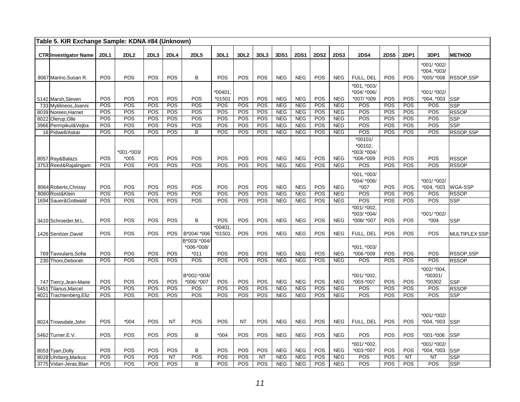| Table 5. KIR Exchange Sample: KDNA #84 (Unknown) |             |            |            |             |               |            |                  |            |                          |                          |             |                          |                          |             |             |                        |                           |
|--------------------------------------------------|-------------|------------|------------|-------------|---------------|------------|------------------|------------|--------------------------|--------------------------|-------------|--------------------------|--------------------------|-------------|-------------|------------------------|---------------------------|
| <b>CTR Investigator Name</b>                     | <b>2DL1</b> | 2DL2       | 2DL3       | <b>2DL4</b> | <b>2DL5</b>   | 3DL1       | 3DL <sub>2</sub> | 3DL3       | 3DS1                     | <b>2DS1</b>              | <b>2DS2</b> | <b>2DS3</b>              | <b>2DS4</b>              | <b>2DS5</b> | <b>2DP1</b> | 3DP1                   | <b>METHOD</b>             |
|                                                  |             |            |            |             |               |            |                  |            |                          |                          |             |                          |                          |             |             | *001/ *002/            |                           |
|                                                  |             |            |            |             | B             |            |                  |            |                          |                          |             |                          |                          |             |             | *004, *003/            |                           |
| 8067 Marino, Susan R.                            | POS         | POS        | POS        | POS         |               | POS        | POS              | POS        | <b>NEG</b>               | <b>NEG</b>               | POS         | <b>NEG</b>               | FULL, DEL<br>*001. *003/ | POS         | POS         | *005/ *006             | RSSOP, SSP                |
|                                                  |             |            |            |             |               | $*00401$   |                  |            |                          |                          |             |                          | *004/ *006/              |             |             | *001/ *002/            |                           |
| 5142 Marsh, Steven                               | POS         | POS        | POS        | POS         | POS           | *01501     | POS              | POS        | <b>NEG</b>               | <b>NEG</b>               | POS         | <b>NEG</b>               | *007/ *009               | POS         | POS         | *004, *003             | <b>SSP</b>                |
| 733 Mytilineos, Joanni                           | POS         | POS        | POS        | POS         | POS           | POS        | POS              | POS        | <b>NEG</b>               | <b>NEG</b>               | POS         | NEG                      | POS                      | POS         | POS         | POS                    | <b>SSP</b>                |
| 8039 Noreen, Harriet                             | POS         | POS        | POS        | POS         | POS           | POS        | POS              | POS        | <b>NEG</b>               | <b>NEG</b>               | POS         | <b>NEG</b>               | POS                      | POS         | POS         | POS                    | <b>RSSOP</b>              |
| 8022 Olerup, Olle                                | POS         | <b>POS</b> | <b>POS</b> | POS         | POS           | POS        | POS              | POS        | <b>NEG</b>               | <b>NEG</b>               | POS         | <b>NEG</b>               | POS                      | POS         | POS         | POS                    | <b>SSP</b>                |
| 3966 Permpikul&Vejba                             | POS<br>POS  | POS<br>POS | POS<br>POS | POS<br>POS  | POS<br>B      | POS<br>POS | POS<br>POS       | POS<br>POS | <b>NEG</b><br><b>NEG</b> | <b>NEG</b><br><b>NEG</b> | POS<br>POS  | <b>NEG</b><br><b>NEG</b> | POS<br>POS               | POS<br>POS  | POS<br>POS  | POS<br>POS             | <b>SSP</b><br>RSSOP, SSP  |
| 16 Pidwell/Askar                                 |             |            |            |             |               |            |                  |            |                          |                          |             |                          | $*00101/$                |             |             |                        |                           |
|                                                  |             |            |            |             |               |            |                  |            |                          |                          |             |                          | *00102.                  |             |             |                        |                           |
|                                                  |             | *001-*003/ |            |             |               |            |                  |            |                          |                          |             |                          | *003/ *004/              |             |             |                        |                           |
| 8057 Ray&Balazs                                  | POS         | $*005$     | POS        | POS         | POS           | POS        | POS              | POS        | <b>NEG</b>               | <b>NEG</b>               | POS         | <b>NEG</b>               | *006-*009                | POS         | POS         | POS                    | <b>RSSOP</b>              |
| 3753 Reed&Rajalingam                             | POS         | POS        | <b>POS</b> | POS         | POS           | POS        | <b>POS</b>       | POS        | <b>NEG</b>               | <b>NEG</b>               | POS         | <b>NEG</b>               | POS                      | <b>POS</b>  | POS         | POS                    | <b>RSSOP</b>              |
|                                                  |             |            |            |             |               |            |                  |            |                          |                          |             |                          | *001, *003/              |             |             |                        |                           |
|                                                  |             |            |            |             |               |            |                  |            |                          |                          |             |                          | *004/ *006/              |             |             | *001/ *002/            |                           |
| 8064 Roberts, Chrissy                            | POS         | POS        | POS        | POS         | POS           | POS        | POS              | POS        | <b>NEG</b>               | <b>NEG</b>               | POS         | <b>NEG</b>               | $*007$                   | POS         | POS         | *004, *003 WGA-SSP     |                           |
| 8060 Rost&Klein                                  | POS         | POS        | POS        | POS         | POS           | POS        | POS              | <b>POS</b> | <b>NEG</b>               | <b>NEG</b>               | POS         | <b>NEG</b>               | POS                      | POS         | POS         | POS                    | <b>RSSOP</b>              |
| 1694 Sauer& Gottwald                             | POS         | <b>POS</b> | <b>POS</b> | POS         | POS           | <b>POS</b> | POS              | <b>POS</b> | NEG                      | <b>NEG</b>               | POS         | <b>NEG</b>               | POS<br>*001/ *002,       | POS         | <b>POS</b>  | POS                    | <b>SSP</b>                |
|                                                  |             |            |            |             |               |            |                  |            |                          |                          |             |                          | *003/ *004/              |             |             | *001/ *002/            |                           |
| 3410 Schroeder, M.L.                             | POS         | POS        | POS        | POS         | B             | <b>POS</b> | POS              | POS        | <b>NEG</b>               | <b>NEG</b>               | POS         | <b>NEG</b>               | *006/ *007               | POS         | POS         | $*004$                 | SSP                       |
|                                                  |             |            |            |             |               | *00401     |                  |            |                          |                          |             |                          |                          |             |             |                        |                           |
| 1426 Senitzer, David                             | POS         | POS        | POS        | POS         | B*004/ *006   | *01501     | POS              | POS        | <b>NEG</b>               | <b>NEG</b>               | POS         | <b>NEG</b>               | FULL, DEL                | POS         | POS         | POS                    | <b>MULTIPLEX SSP</b>      |
|                                                  |             |            |            |             | B*003/ *004/  |            |                  |            |                          |                          |             |                          |                          |             |             |                        |                           |
|                                                  |             |            |            |             | *006-*008/    |            |                  |            |                          |                          |             |                          | *001, *003/              |             |             |                        |                           |
| 769 Tavoularis, Sofia<br>230 Thoni, Deborah      | POS<br>POS  | POS<br>POS | POS<br>POS | POS<br>POS  | $*011$<br>POS | POS<br>POS | POS<br>POS       | POS<br>POS | <b>NEG</b><br><b>NEG</b> | <b>NEG</b><br><b>NEG</b> | POS<br>POS  | <b>NEG</b><br><b>NEG</b> | *006-*009<br>POS         | POS<br>POS  | POS<br>POS  | POS<br>POS             | RSSOP,SSP<br><b>RSSOP</b> |
|                                                  |             |            |            |             |               |            |                  |            |                          |                          |             |                          |                          |             |             |                        |                           |
|                                                  |             |            |            |             | B*002-*004/   |            |                  |            |                          |                          |             |                          | *001/ *002,              |             |             | *002/ *004,<br>*00301/ |                           |
| 747 Tiercy, Jean-Marie                           | POS         | POS        | POS        | POS         | *006/ *007    | POS        | POS              | POS        | <b>NEG</b>               | <b>NEG</b>               | POS         | <b>NEG</b>               | *003-*007                | POS         | POS         | *00302                 | <b>SSP</b>                |
| 5451 Tilanus, Marcel                             | POS         | POS        | POS        | POS         | POS           | POS        | POS              | POS        | <b>NEG</b>               | NEG                      | POS         | <b>NEG</b>               | POS                      | POS         | POS         | POS                    | <b>RSSOP</b>              |
| 4021 Trachtenberg, Eliz                          | POS         | POS        | POS        | POS         | POS           | POS        | POS              | POS        | <b>NEG</b>               | <b>NEG</b>               | POS         | <b>NEG</b>               | POS                      | POS         | POS         | POS                    | <b>SSP</b>                |
|                                                  |             |            |            |             |               |            |                  |            |                          |                          |             |                          |                          |             |             |                        |                           |
|                                                  |             |            |            |             |               |            |                  |            |                          |                          |             |                          |                          |             |             |                        |                           |
|                                                  |             |            |            |             |               |            |                  |            |                          |                          |             |                          |                          |             |             | *001/ *002/            |                           |
| 8024 Trowsdale, John                             | POS         | $*004$     | POS        | <b>NT</b>   | POS           | POS        | <b>NT</b>        | POS        | <b>NEG</b>               | <b>NEG</b>               | POS         | <b>NEG</b>               | FULL. DEL                | POS         | POS         | *004, *003             | <b>SSP</b>                |
| 5462 Turner, E.V.                                | <b>POS</b>  | <b>POS</b> | POS        | POS         | B             | $*004$     | POS              | POS        | <b>NEG</b>               | <b>NEG</b>               | POS         | <b>NEG</b>               | POS                      | POS         | POS         | *001-*006              | <b>SSP</b>                |
|                                                  |             |            |            |             |               |            |                  |            |                          |                          |             |                          | *001/ *002,              |             |             | *001/ *002/            |                           |
| 8053 Tyan, Dolly                                 | POS         | POS        | POS        | POS         | B             | POS        | POS              | POS        | <b>NEG</b>               | <b>NEG</b>               | POS         | <b>NEG</b>               | *003-*007                | POS         | POS         | $*004, *003$           | <b>SSP</b>                |
| 8028 Uhrberg, Markus                             | POS         | POS        | POS        | NT          | <b>POS</b>    | <b>POS</b> | POS              | NT         | <b>NEG</b>               | <b>NEG</b>               | <b>POS</b>  | <b>NEG</b>               | POS                      | <b>POS</b>  | NT          | <b>NT</b>              | <b>SSP</b>                |
| 3775 Vidan-Jeras, Blan                           | POS         | POS        | POS        | <b>POS</b>  | B             | <b>POS</b> | <b>POS</b>       | <b>POS</b> | <b>NEG</b>               | <b>NEG</b>               | POS         | <b>NEG</b>               | POS                      | POS         | <b>POS</b>  | POS                    | SSP                       |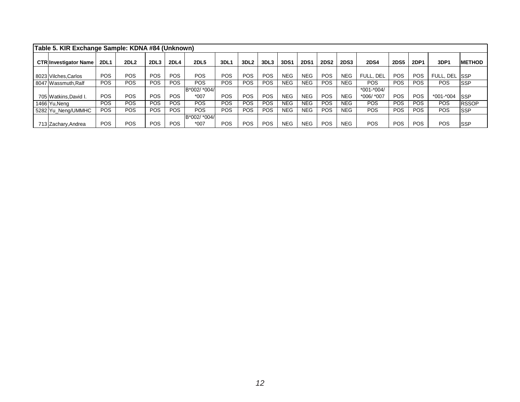| Table 5. KIR Exchange Sample: KDNA #84 (Unknown) |             |             |                  |            |              |            |                  |            |             |             |             |             |                |             |             |              |               |
|--------------------------------------------------|-------------|-------------|------------------|------------|--------------|------------|------------------|------------|-------------|-------------|-------------|-------------|----------------|-------------|-------------|--------------|---------------|
| <b>CTR Investigator Name</b>                     | <b>2DL1</b> | <b>2DL2</b> | 2DL <sub>3</sub> | 2DL4       | <b>2DL5</b>  | 3DL1       | 3DL <sub>2</sub> | 3DL3       | <b>3DS1</b> | <b>2DS1</b> | <b>2DS2</b> | <b>2DS3</b> | <b>2DS4</b>    | <b>2DS5</b> | <b>2DP1</b> | 3DP1         | <b>METHOD</b> |
| 8023 Vilches.Carlos                              | <b>POS</b>  | POS         | POS              | <b>POS</b> | <b>POS</b>   | POS        | POS              | <b>POS</b> | <b>NEG</b>  | NEG         | POS         | <b>NEG</b>  | FULL, DEL      | POS         | POS         | FULL, DEL    | <b>ISSP</b>   |
| 8047 Wassmuth, Ralf                              | <b>POS</b>  | <b>POS</b>  | POS              | <b>POS</b> | <b>POS</b>   | POS        | <b>POS</b>       | <b>POS</b> | <b>NEG</b>  | NEG         | POS         | <b>NEG</b>  | <b>POS</b>     | POS         | <b>POS</b>  | POS          | <b>SSP</b>    |
|                                                  |             |             |                  |            | B*002/ *004/ |            |                  |            |             |             |             |             | $*001 - *004/$ |             |             |              |               |
| 705 Watkins, David I.                            | POS         | POS         | POS              | <b>POS</b> | $*007$       | <b>POS</b> | POS              | <b>POS</b> | <b>NEG</b>  | <b>NEG</b>  | POS         | <b>NEG</b>  | *006/ *007     | POS         | POS         | $*001 - 004$ | <b>SSP</b>    |
| 1466 Yu,Neng                                     | POS         | POS         | POS              | <b>POS</b> | POS          | POS        | <b>POS</b>       | <b>POS</b> | <b>NEG</b>  | NEG         | POS         | <b>NEG</b>  | <b>POS</b>     | <b>POS</b>  | <b>POS</b>  | POS          | <b>RSSOP</b>  |
| 5282 Yu_Neng/UMMHC                               | <b>POS</b>  | <b>POS</b>  | <b>POS</b>       | <b>POS</b> | <b>POS</b>   | POS        | <b>POS</b>       | <b>POS</b> | <b>NEG</b>  | NEG.        | POS         | <b>NEG</b>  | <b>POS</b>     | <b>POS</b>  | <b>POS</b>  | POS          | <b>SSP</b>    |
|                                                  |             |             |                  |            | B*002/ *004/ |            |                  |            |             |             |             |             |                |             |             |              |               |
| 713 Zachary, Andrea                              | <b>POS</b>  | <b>POS</b>  | <b>POS</b>       | POS        | $*007$       | <b>POS</b> | <b>POS</b>       | <b>POS</b> | <b>NEG</b>  | NEG.        | POS         | NEG.        | <b>POS</b>     | POS         | <b>POS</b>  | POS          | <b>SSP</b>    |